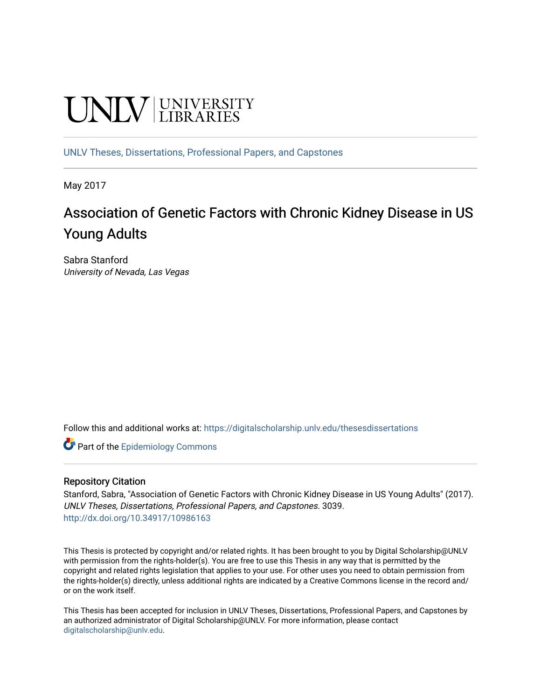# **UNIVERSITY**

[UNLV Theses, Dissertations, Professional Papers, and Capstones](https://digitalscholarship.unlv.edu/thesesdissertations)

May 2017

# Association of Genetic Factors with Chronic Kidney Disease in US Young Adults

Sabra Stanford University of Nevada, Las Vegas

Follow this and additional works at: [https://digitalscholarship.unlv.edu/thesesdissertations](https://digitalscholarship.unlv.edu/thesesdissertations?utm_source=digitalscholarship.unlv.edu%2Fthesesdissertations%2F3039&utm_medium=PDF&utm_campaign=PDFCoverPages)

**C** Part of the Epidemiology Commons

#### Repository Citation

Stanford, Sabra, "Association of Genetic Factors with Chronic Kidney Disease in US Young Adults" (2017). UNLV Theses, Dissertations, Professional Papers, and Capstones. 3039. <http://dx.doi.org/10.34917/10986163>

This Thesis is protected by copyright and/or related rights. It has been brought to you by Digital Scholarship@UNLV with permission from the rights-holder(s). You are free to use this Thesis in any way that is permitted by the copyright and related rights legislation that applies to your use. For other uses you need to obtain permission from the rights-holder(s) directly, unless additional rights are indicated by a Creative Commons license in the record and/ or on the work itself.

This Thesis has been accepted for inclusion in UNLV Theses, Dissertations, Professional Papers, and Capstones by an authorized administrator of Digital Scholarship@UNLV. For more information, please contact [digitalscholarship@unlv.edu](mailto:digitalscholarship@unlv.edu).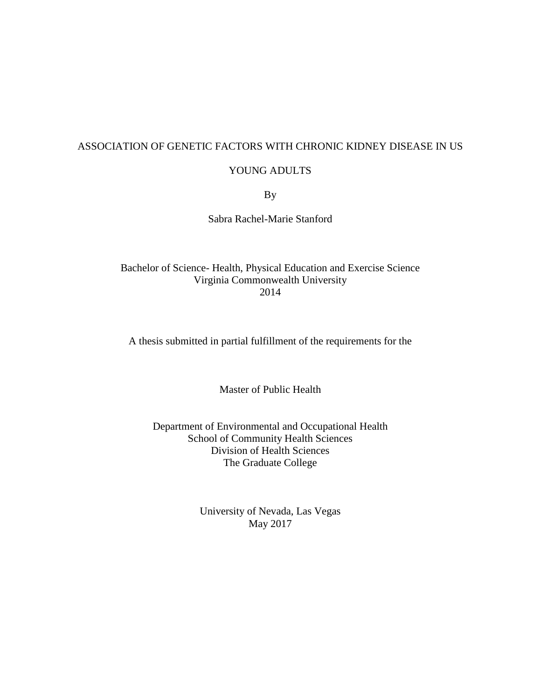#### ASSOCIATION OF GENETIC FACTORS WITH CHRONIC KIDNEY DISEASE IN US

#### YOUNG ADULTS

By

Sabra Rachel-Marie Stanford

Bachelor of Science- Health, Physical Education and Exercise Science Virginia Commonwealth University 2014

A thesis submitted in partial fulfillment of the requirements for the

Master of Public Health

Department of Environmental and Occupational Health School of Community Health Sciences Division of Health Sciences The Graduate College

> University of Nevada, Las Vegas May 2017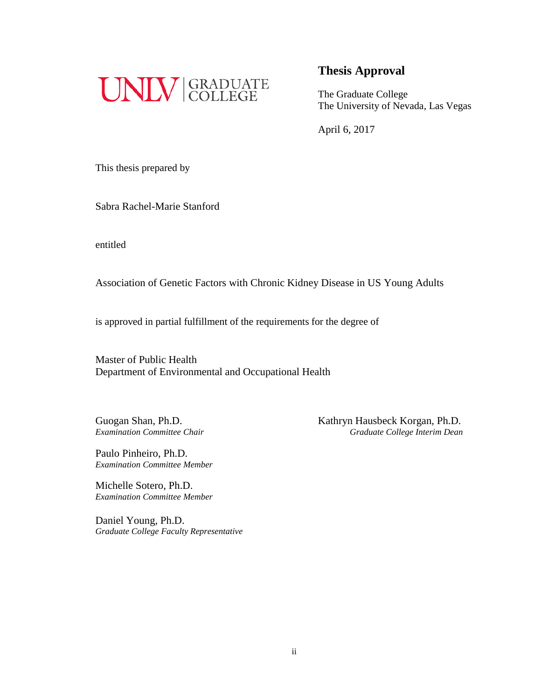

The Graduate College The University of Nevada, Las Vegas

April 6, 2017

This thesis prepared by

Sabra Rachel-Marie Stanford

entitled

Association of Genetic Factors with Chronic Kidney Disease in US Young Adults

is approved in partial fulfillment of the requirements for the degree of

Master of Public Health Department of Environmental and Occupational Health

Paulo Pinheiro, Ph.D. *Examination Committee Member*

Michelle Sotero, Ph.D. *Examination Committee Member*

Daniel Young, Ph.D. *Graduate College Faculty Representative*

Guogan Shan, Ph.D.<br>Examination Committee Chair<br>Graduate College Interim Dean *Examination Committee Chair Graduate College Interim Dean*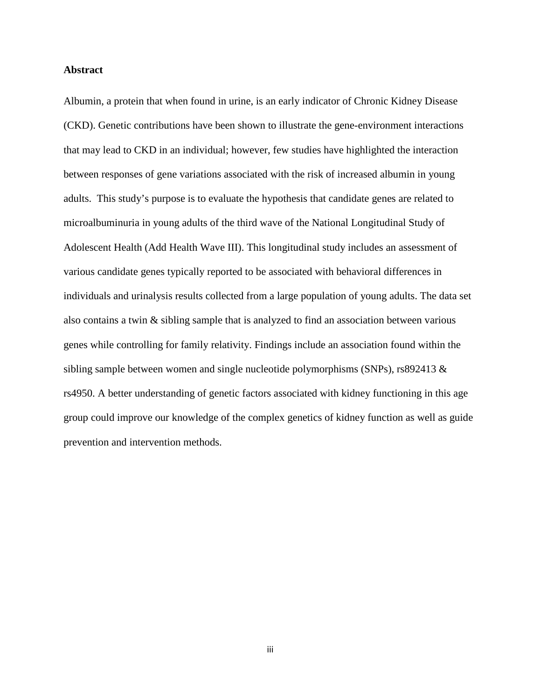#### **Abstract**

Albumin, a protein that when found in urine, is an early indicator of Chronic Kidney Disease (CKD). Genetic contributions have been shown to illustrate the gene-environment interactions that may lead to CKD in an individual; however, few studies have highlighted the interaction between responses of gene variations associated with the risk of increased albumin in young adults. This study's purpose is to evaluate the hypothesis that candidate genes are related to microalbuminuria in young adults of the third wave of the National Longitudinal Study of Adolescent Health (Add Health Wave III). This longitudinal study includes an assessment of various candidate genes typically reported to be associated with behavioral differences in individuals and urinalysis results collected from a large population of young adults. The data set also contains a twin & sibling sample that is analyzed to find an association between various genes while controlling for family relativity. Findings include an association found within the sibling sample between women and single nucleotide polymorphisms (SNPs), rs892413 & rs4950. A better understanding of genetic factors associated with kidney functioning in this age group could improve our knowledge of the complex genetics of kidney function as well as guide prevention and intervention methods.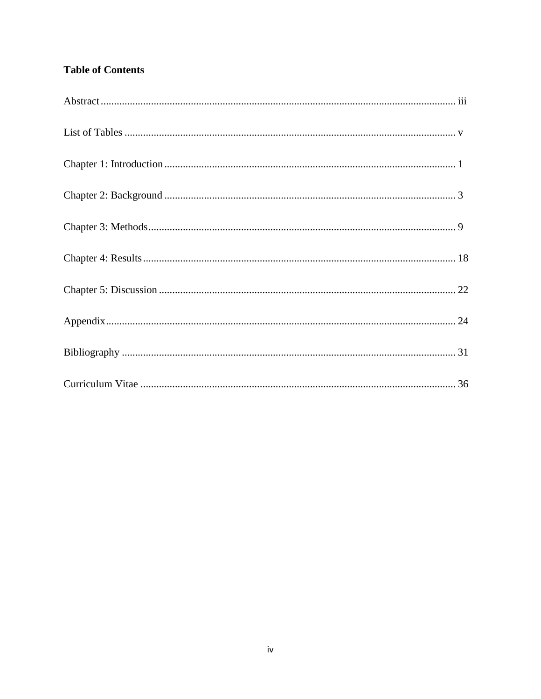## **Table of Contents**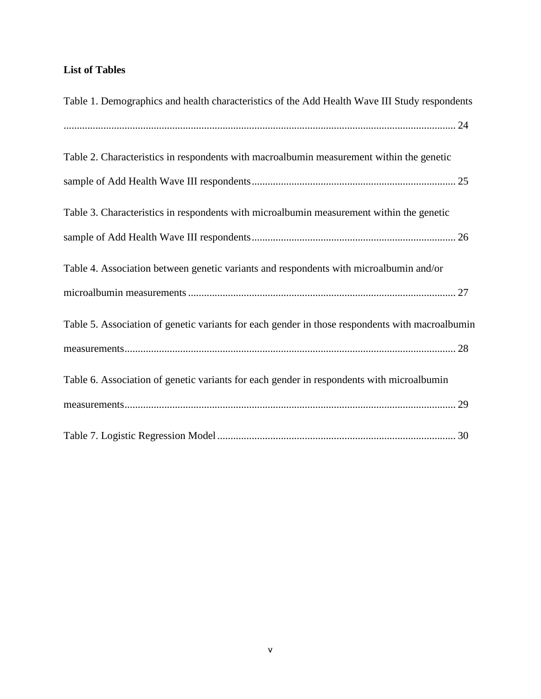### **List of Tables**

| Table 1. Demographics and health characteristics of the Add Health Wave III Study respondents   |
|-------------------------------------------------------------------------------------------------|
|                                                                                                 |
| Table 2. Characteristics in respondents with macroalbumin measurement within the genetic        |
|                                                                                                 |
| Table 3. Characteristics in respondents with microalbumin measurement within the genetic        |
|                                                                                                 |
| Table 4. Association between genetic variants and respondents with microalbumin and/or          |
|                                                                                                 |
| Table 5. Association of genetic variants for each gender in those respondents with macroalbumin |
|                                                                                                 |
| Table 6. Association of genetic variants for each gender in respondents with microalbumin       |
|                                                                                                 |
|                                                                                                 |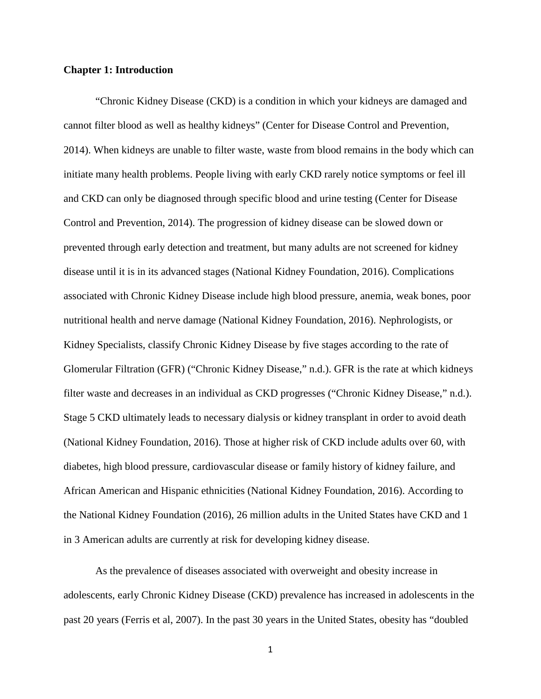#### **Chapter 1: Introduction**

"Chronic Kidney Disease (CKD) is a condition in which your kidneys are damaged and cannot filter blood as well as healthy kidneys" (Center for Disease Control and Prevention, 2014). When kidneys are unable to filter waste, waste from blood remains in the body which can initiate many health problems. People living with early CKD rarely notice symptoms or feel ill and CKD can only be diagnosed through specific blood and urine testing (Center for Disease Control and Prevention, 2014). The progression of kidney disease can be slowed down or prevented through early detection and treatment, but many adults are not screened for kidney disease until it is in its advanced stages (National Kidney Foundation, 2016). Complications associated with Chronic Kidney Disease include high blood pressure, anemia, weak bones, poor nutritional health and nerve damage (National Kidney Foundation, 2016). Nephrologists, or Kidney Specialists, classify Chronic Kidney Disease by five stages according to the rate of Glomerular Filtration (GFR) ("Chronic Kidney Disease," n.d.). GFR is the rate at which kidneys filter waste and decreases in an individual as CKD progresses ("Chronic Kidney Disease," n.d.). Stage 5 CKD ultimately leads to necessary dialysis or kidney transplant in order to avoid death (National Kidney Foundation, 2016). Those at higher risk of CKD include adults over 60, with diabetes, high blood pressure, cardiovascular disease or family history of kidney failure, and African American and Hispanic ethnicities (National Kidney Foundation, 2016). According to the National Kidney Foundation (2016), 26 million adults in the United States have CKD and 1 in 3 American adults are currently at risk for developing kidney disease.

As the prevalence of diseases associated with overweight and obesity increase in adolescents, early Chronic Kidney Disease (CKD) prevalence has increased in adolescents in the past 20 years (Ferris et al, 2007). In the past 30 years in the United States, obesity has "doubled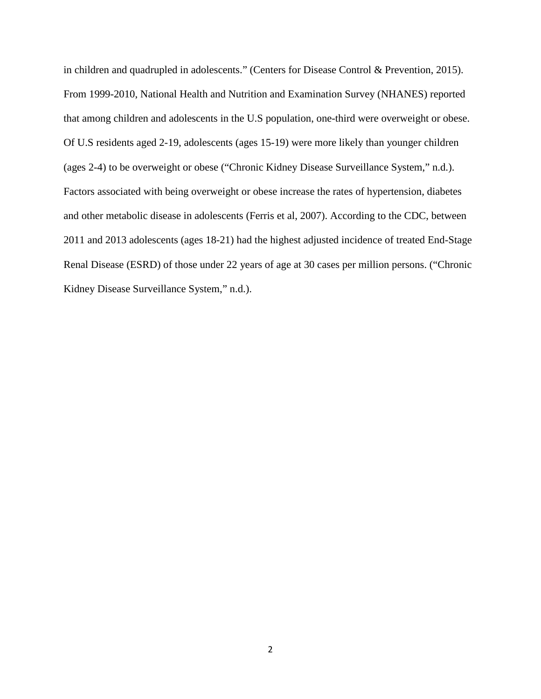in children and quadrupled in adolescents." (Centers for Disease Control & Prevention, 2015). From 1999-2010, National Health and Nutrition and Examination Survey (NHANES) reported that among children and adolescents in the U.S population, one-third were overweight or obese. Of U.S residents aged 2-19, adolescents (ages 15-19) were more likely than younger children (ages 2-4) to be overweight or obese ("Chronic Kidney Disease Surveillance System," n.d.). Factors associated with being overweight or obese increase the rates of hypertension, diabetes and other metabolic disease in adolescents (Ferris et al, 2007). According to the CDC, between 2011 and 2013 adolescents (ages 18-21) had the highest adjusted incidence of treated End-Stage Renal Disease (ESRD) of those under 22 years of age at 30 cases per million persons. ("Chronic Kidney Disease Surveillance System," n.d.).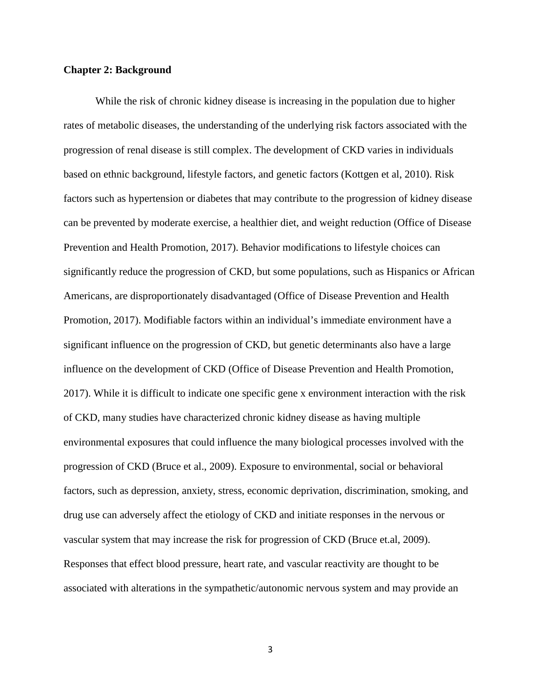#### **Chapter 2: Background**

While the risk of chronic kidney disease is increasing in the population due to higher rates of metabolic diseases, the understanding of the underlying risk factors associated with the progression of renal disease is still complex. The development of CKD varies in individuals based on ethnic background, lifestyle factors, and genetic factors (Kottgen et al, 2010). Risk factors such as hypertension or diabetes that may contribute to the progression of kidney disease can be prevented by moderate exercise, a healthier diet, and weight reduction (Office of Disease Prevention and Health Promotion, 2017). Behavior modifications to lifestyle choices can significantly reduce the progression of CKD, but some populations, such as Hispanics or African Americans, are disproportionately disadvantaged (Office of Disease Prevention and Health Promotion, 2017). Modifiable factors within an individual's immediate environment have a significant influence on the progression of CKD, but genetic determinants also have a large influence on the development of CKD (Office of Disease Prevention and Health Promotion, 2017). While it is difficult to indicate one specific gene x environment interaction with the risk of CKD, many studies have characterized chronic kidney disease as having multiple environmental exposures that could influence the many biological processes involved with the progression of CKD (Bruce et al., 2009). Exposure to environmental, social or behavioral factors, such as depression, anxiety, stress, economic deprivation, discrimination, smoking, and drug use can adversely affect the etiology of CKD and initiate responses in the nervous or vascular system that may increase the risk for progression of CKD (Bruce et.al, 2009). Responses that effect blood pressure, heart rate, and vascular reactivity are thought to be associated with alterations in the sympathetic/autonomic nervous system and may provide an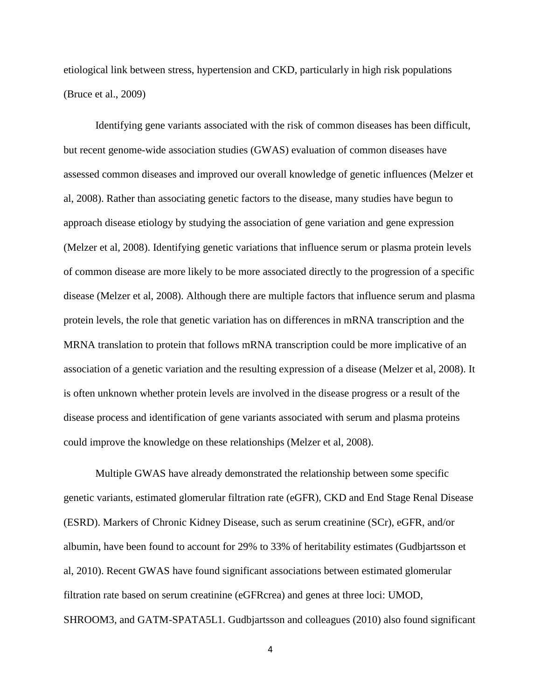etiological link between stress, hypertension and CKD, particularly in high risk populations (Bruce et al., 2009)

Identifying gene variants associated with the risk of common diseases has been difficult, but recent genome-wide association studies (GWAS) evaluation of common diseases have assessed common diseases and improved our overall knowledge of genetic influences (Melzer et al, 2008). Rather than associating genetic factors to the disease, many studies have begun to approach disease etiology by studying the association of gene variation and gene expression (Melzer et al, 2008). Identifying genetic variations that influence serum or plasma protein levels of common disease are more likely to be more associated directly to the progression of a specific disease (Melzer et al, 2008). Although there are multiple factors that influence serum and plasma protein levels, the role that genetic variation has on differences in mRNA transcription and the MRNA translation to protein that follows mRNA transcription could be more implicative of an association of a genetic variation and the resulting expression of a disease (Melzer et al, 2008). It is often unknown whether protein levels are involved in the disease progress or a result of the disease process and identification of gene variants associated with serum and plasma proteins could improve the knowledge on these relationships (Melzer et al, 2008).

Multiple GWAS have already demonstrated the relationship between some specific genetic variants, estimated glomerular filtration rate (eGFR), CKD and End Stage Renal Disease (ESRD). Markers of Chronic Kidney Disease, such as serum creatinine (SCr), eGFR, and/or albumin, have been found to account for 29% to 33% of heritability estimates (Gudbjartsson et al, 2010). Recent GWAS have found significant associations between estimated glomerular filtration rate based on serum creatinine (eGFRcrea) and genes at three loci: UMOD, SHROOM3, and GATM-SPATA5L1. Gudbjartsson and colleagues (2010) also found significant

4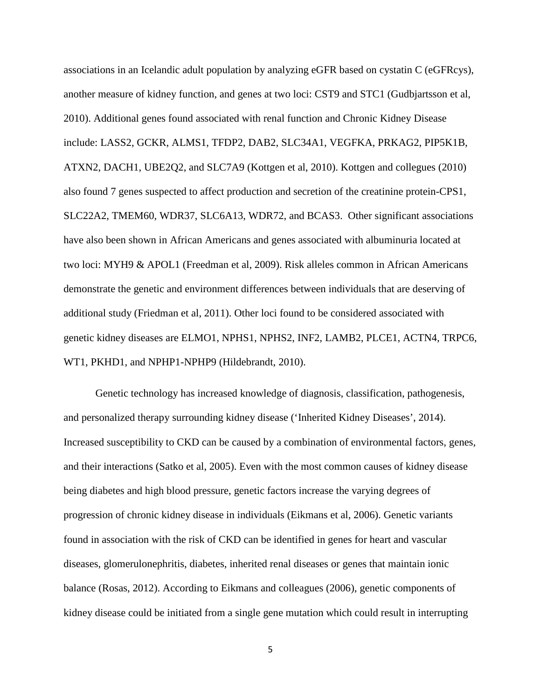associations in an Icelandic adult population by analyzing eGFR based on cystatin C (eGFRcys), another measure of kidney function, and genes at two loci: CST9 and STC1 (Gudbjartsson et al, 2010). Additional genes found associated with renal function and Chronic Kidney Disease include: LASS2, GCKR, ALMS1, TFDP2, DAB2, SLC34A1, VEGFKA, PRKAG2, PIP5K1B, ATXN2, DACH1, UBE2Q2, and SLC7A9 (Kottgen et al, 2010). Kottgen and collegues (2010) also found 7 genes suspected to affect production and secretion of the creatinine protein-CPS1, SLC22A2, TMEM60, WDR37, SLC6A13, WDR72, and BCAS3. Other significant associations have also been shown in African Americans and genes associated with albuminuria located at two loci: MYH9 & APOL1 (Freedman et al, 2009). Risk alleles common in African Americans demonstrate the genetic and environment differences between individuals that are deserving of additional study (Friedman et al, 2011). Other loci found to be considered associated with genetic kidney diseases are ELMO1, NPHS1, NPHS2, INF2, LAMB2, PLCE1, ACTN4, TRPC6, WT1, PKHD1, and NPHP1-NPHP9 (Hildebrandt, 2010).

Genetic technology has increased knowledge of diagnosis, classification, pathogenesis, and personalized therapy surrounding kidney disease ('Inherited Kidney Diseases', 2014). Increased susceptibility to CKD can be caused by a combination of environmental factors, genes, and their interactions (Satko et al, 2005). Even with the most common causes of kidney disease being diabetes and high blood pressure, genetic factors increase the varying degrees of progression of chronic kidney disease in individuals (Eikmans et al, 2006). Genetic variants found in association with the risk of CKD can be identified in genes for heart and vascular diseases, glomerulonephritis, diabetes, inherited renal diseases or genes that maintain ionic balance (Rosas, 2012). According to Eikmans and colleagues (2006), genetic components of kidney disease could be initiated from a single gene mutation which could result in interrupting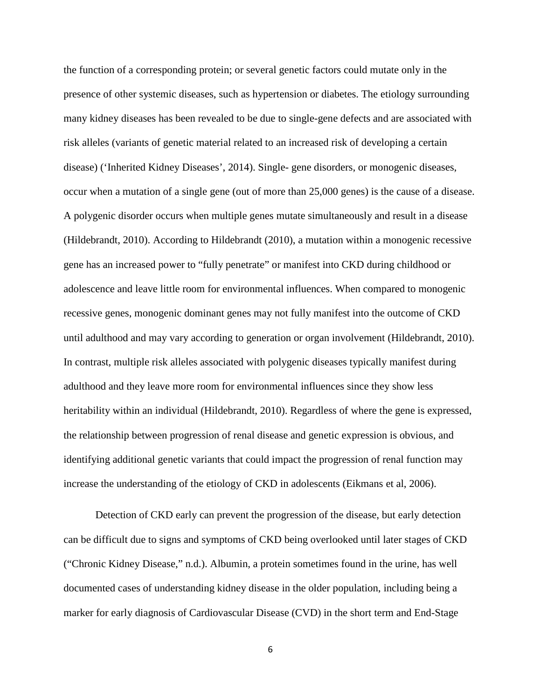the function of a corresponding protein; or several genetic factors could mutate only in the presence of other systemic diseases, such as hypertension or diabetes. The etiology surrounding many kidney diseases has been revealed to be due to single-gene defects and are associated with risk alleles (variants of genetic material related to an increased risk of developing a certain disease) ('Inherited Kidney Diseases', 2014). Single- gene disorders, or monogenic diseases, occur when a mutation of a single gene (out of more than 25,000 genes) is the cause of a disease. A polygenic disorder occurs when multiple genes mutate simultaneously and result in a disease (Hildebrandt, 2010). According to Hildebrandt (2010), a mutation within a monogenic recessive gene has an increased power to "fully penetrate" or manifest into CKD during childhood or adolescence and leave little room for environmental influences. When compared to monogenic recessive genes, monogenic dominant genes may not fully manifest into the outcome of CKD until adulthood and may vary according to generation or organ involvement (Hildebrandt, 2010). In contrast, multiple risk alleles associated with polygenic diseases typically manifest during adulthood and they leave more room for environmental influences since they show less heritability within an individual (Hildebrandt, 2010). Regardless of where the gene is expressed, the relationship between progression of renal disease and genetic expression is obvious, and identifying additional genetic variants that could impact the progression of renal function may increase the understanding of the etiology of CKD in adolescents (Eikmans et al, 2006).

Detection of CKD early can prevent the progression of the disease, but early detection can be difficult due to signs and symptoms of CKD being overlooked until later stages of CKD ("Chronic Kidney Disease," n.d.). Albumin, a protein sometimes found in the urine, has well documented cases of understanding kidney disease in the older population, including being a marker for early diagnosis of Cardiovascular Disease (CVD) in the short term and End-Stage

6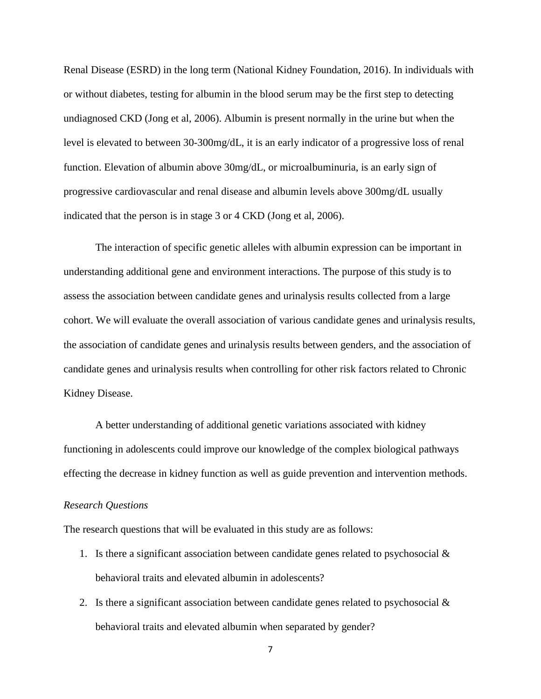Renal Disease (ESRD) in the long term (National Kidney Foundation, 2016). In individuals with or without diabetes, testing for albumin in the blood serum may be the first step to detecting undiagnosed CKD (Jong et al, 2006). Albumin is present normally in the urine but when the level is elevated to between 30-300mg/dL, it is an early indicator of a progressive loss of renal function. Elevation of albumin above 30mg/dL, or microalbuminuria, is an early sign of progressive cardiovascular and renal disease and albumin levels above 300mg/dL usually indicated that the person is in stage 3 or 4 CKD (Jong et al, 2006).

The interaction of specific genetic alleles with albumin expression can be important in understanding additional gene and environment interactions. The purpose of this study is to assess the association between candidate genes and urinalysis results collected from a large cohort. We will evaluate the overall association of various candidate genes and urinalysis results, the association of candidate genes and urinalysis results between genders, and the association of candidate genes and urinalysis results when controlling for other risk factors related to Chronic Kidney Disease.

A better understanding of additional genetic variations associated with kidney functioning in adolescents could improve our knowledge of the complex biological pathways effecting the decrease in kidney function as well as guide prevention and intervention methods.

#### *Research Questions*

The research questions that will be evaluated in this study are as follows:

- 1. Is there a significant association between candidate genes related to psychosocial  $\&$ behavioral traits and elevated albumin in adolescents?
- 2. Is there a significant association between candidate genes related to psychosocial  $\&$ behavioral traits and elevated albumin when separated by gender?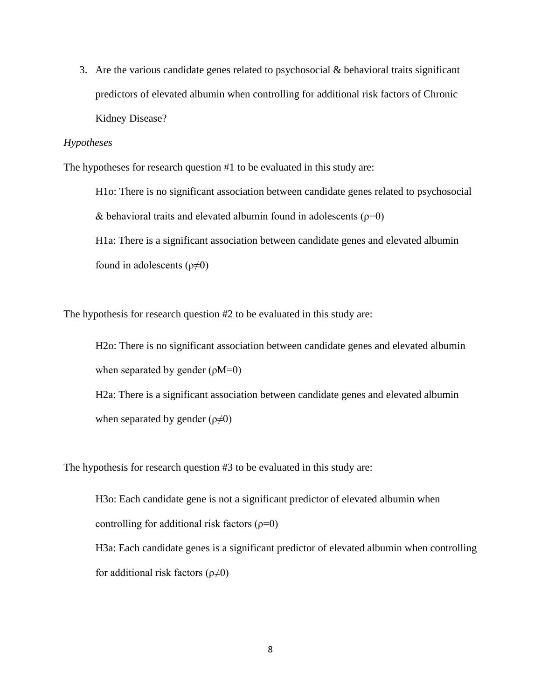3. Are the various candidate genes related to psychosocial & behavioral traits significant predictors of elevated albumin when controlling for additional risk factors of Chronic Kidney Disease?

#### *Hypotheses*

The hypotheses for research question #1 to be evaluated in this study are:

H1o: There is no significant association between candidate genes related to psychosocial & behavioral traits and elevated albumin found in adolescents ( $\rho=0$ ) H1a: There is a significant association between candidate genes and elevated albumin found in adolescents ( $\rho \neq 0$ )

The hypothesis for research question #2 to be evaluated in this study are:

H2o: There is no significant association between candidate genes and elevated albumin when separated by gender  $(\rho M=0)$ 

H2a: There is a significant association between candidate genes and elevated albumin when separated by gender  $(\rho \neq 0)$ 

The hypothesis for research question #3 to be evaluated in this study are:

H3o: Each candidate gene is not a significant predictor of elevated albumin when controlling for additional risk factors  $(\rho=0)$ H3a: Each candidate genes is a significant predictor of elevated albumin when controlling for additional risk factors  $(\rho \neq 0)$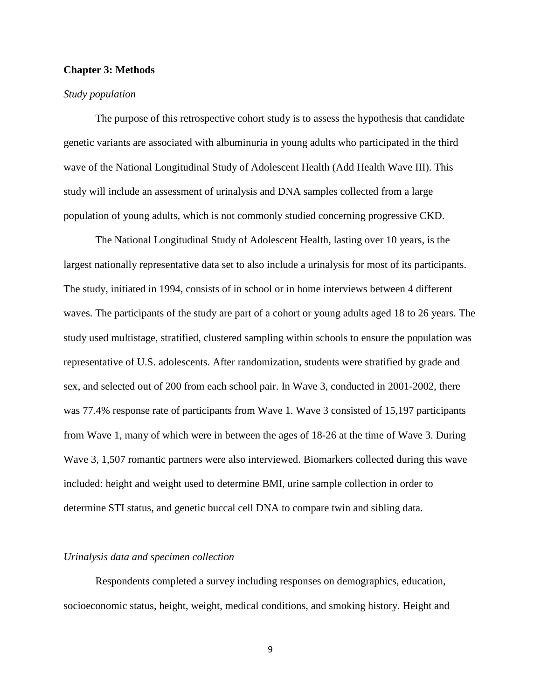#### **Chapter 3: Methods**

#### *Study population*

The purpose of this retrospective cohort study is to assess the hypothesis that candidate genetic variants are associated with albuminuria in young adults who participated in the third wave of the National Longitudinal Study of Adolescent Health (Add Health Wave III). This study will include an assessment of urinalysis and DNA samples collected from a large population of young adults, which is not commonly studied concerning progressive CKD.

The National Longitudinal Study of Adolescent Health, lasting over 10 years, is the largest nationally representative data set to also include a urinalysis for most of its participants. The study, initiated in 1994, consists of in school or in home interviews between 4 different waves. The participants of the study are part of a cohort or young adults aged 18 to 26 years. The study used multistage, stratified, clustered sampling within schools to ensure the population was representative of U.S. adolescents. After randomization, students were stratified by grade and sex, and selected out of 200 from each school pair. In Wave 3, conducted in 2001-2002, there was 77.4% response rate of participants from Wave 1. Wave 3 consisted of 15,197 participants from Wave 1, many of which were in between the ages of 18-26 at the time of Wave 3. During Wave 3, 1,507 romantic partners were also interviewed. Biomarkers collected during this wave included: height and weight used to determine BMI, urine sample collection in order to determine STI status, and genetic buccal cell DNA to compare twin and sibling data.

#### *Urinalysis data and specimen collection*

Respondents completed a survey including responses on demographics, education, socioeconomic status, height, weight, medical conditions, and smoking history. Height and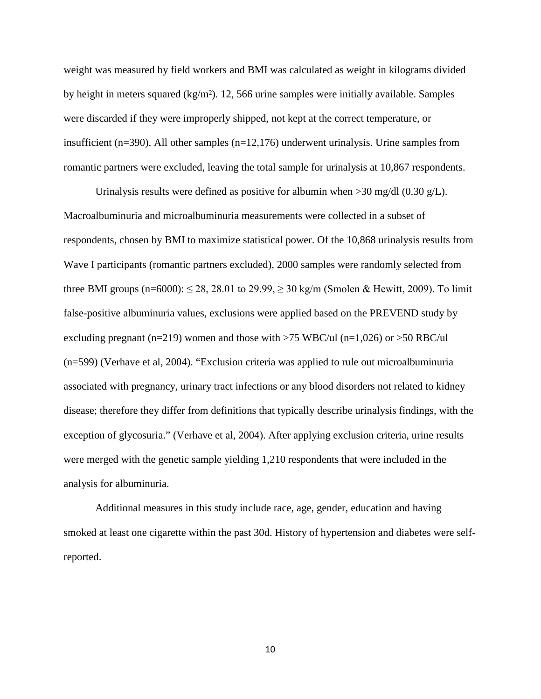weight was measured by field workers and BMI was calculated as weight in kilograms divided by height in meters squared (kg/m²). 12, 566 urine samples were initially available. Samples were discarded if they were improperly shipped, not kept at the correct temperature, or insufficient (n=390). All other samples (n=12,176) underwent urinalysis. Urine samples from romantic partners were excluded, leaving the total sample for urinalysis at 10,867 respondents.

Urinalysis results were defined as positive for albumin when  $>$ 30 mg/dl (0.30 g/L). Macroalbuminuria and microalbuminuria measurements were collected in a subset of respondents, chosen by BMI to maximize statistical power. Of the 10,868 urinalysis results from Wave I participants (romantic partners excluded), 2000 samples were randomly selected from three BMI groups (n=6000):  $\leq$  28, 28.01 to 29.99,  $\geq$  30 kg/m (Smolen & Hewitt, 2009). To limit false-positive albuminuria values, exclusions were applied based on the PREVEND study by excluding pregnant (n=219) women and those with  $>75$  WBC/ul (n=1,026) or  $>50$  RBC/ul (n=599) (Verhave et al, 2004). "Exclusion criteria was applied to rule out microalbuminuria associated with pregnancy, urinary tract infections or any blood disorders not related to kidney disease; therefore they differ from definitions that typically describe urinalysis findings, with the exception of glycosuria." (Verhave et al, 2004). After applying exclusion criteria, urine results were merged with the genetic sample yielding 1,210 respondents that were included in the analysis for albuminuria.

Additional measures in this study include race, age, gender, education and having smoked at least one cigarette within the past 30d. History of hypertension and diabetes were selfreported.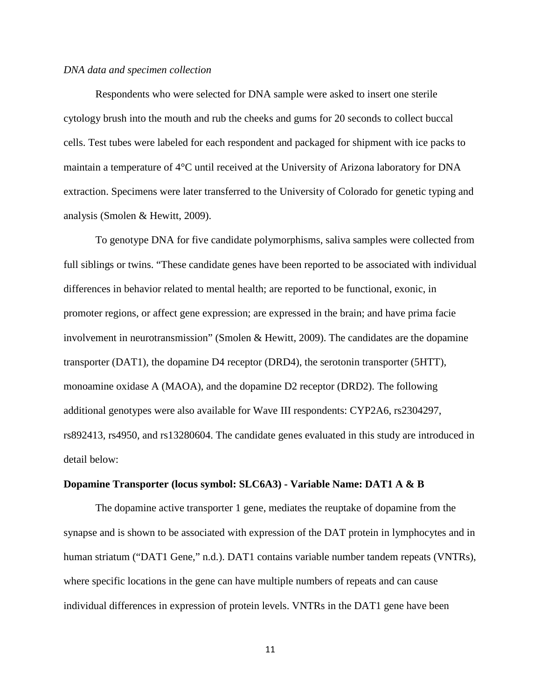#### *DNA data and specimen collection*

Respondents who were selected for DNA sample were asked to insert one sterile cytology brush into the mouth and rub the cheeks and gums for 20 seconds to collect buccal cells. Test tubes were labeled for each respondent and packaged for shipment with ice packs to maintain a temperature of 4°C until received at the University of Arizona laboratory for DNA extraction. Specimens were later transferred to the University of Colorado for genetic typing and analysis (Smolen & Hewitt, 2009).

To genotype DNA for five candidate polymorphisms, saliva samples were collected from full siblings or twins. "These candidate genes have been reported to be associated with individual differences in behavior related to mental health; are reported to be functional, exonic, in promoter regions, or affect gene expression; are expressed in the brain; and have prima facie involvement in neurotransmission" (Smolen & Hewitt, 2009). The candidates are the dopamine transporter (DAT1), the dopamine D4 receptor (DRD4), the serotonin transporter (5HTT), monoamine oxidase A (MAOA), and the dopamine D2 receptor (DRD2). The following additional genotypes were also available for Wave III respondents: CYP2A6, rs2304297, rs892413, rs4950, and rs13280604. The candidate genes evaluated in this study are introduced in detail below:

#### **Dopamine Transporter (locus symbol: SLC6A3) - Variable Name: DAT1 A & B**

The dopamine active transporter 1 gene, mediates the reuptake of dopamine from the synapse and is shown to be associated with expression of the DAT protein in lymphocytes and in human striatum ("DAT1 Gene," n.d.). DAT1 contains variable number tandem repeats (VNTRs), where specific locations in the gene can have multiple numbers of repeats and can cause individual differences in expression of protein levels. VNTRs in the DAT1 gene have been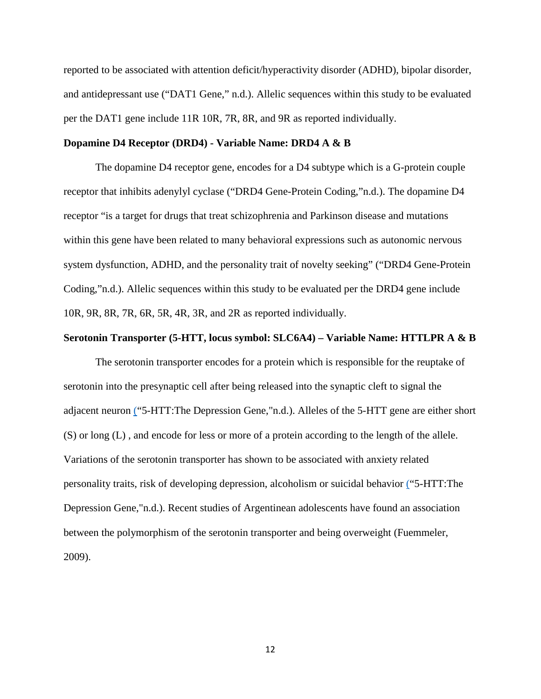reported to be associated with attention deficit/hyperactivity disorder (ADHD), bipolar disorder, and antidepressant use ("DAT1 Gene," n.d.). Allelic sequences within this study to be evaluated per the DAT1 gene include 11R 10R, 7R, 8R, and 9R as reported individually.

#### **Dopamine D4 Receptor (DRD4) - Variable Name: DRD4 A & B**

The dopamine D4 receptor gene, encodes for a D4 subtype which is a G-protein couple receptor that inhibits adenylyl cyclase ("DRD4 Gene-Protein Coding,"n.d.). The dopamine D4 receptor "is a target for drugs that treat schizophrenia and Parkinson disease and mutations within this gene have been related to many behavioral expressions such as autonomic nervous system dysfunction, ADHD, and the personality trait of novelty seeking" ("DRD4 Gene-Protein Coding,"n.d.). Allelic sequences within this study to be evaluated per the DRD4 gene include 10R, 9R, 8R, 7R, 6R, 5R, 4R, 3R, and 2R as reported individually.

#### **Serotonin Transporter (5-HTT, locus symbol: SLC6A4) – Variable Name: HTTLPR A & B**

The serotonin transporter encodes for a protein which is responsible for the reuptake of serotonin into the presynaptic cell after being released into the synaptic cleft to signal the adjacent neuron [\("](http://www.bio.davidson.edu/courses/genomics/2003/mccord/5-htt.html)5-HTT:The Depression Gene,"n.d.). Alleles of the 5-HTT gene are either short (S) or long (L) , and encode for less or more of a protein according to the length of the allele. Variations of the serotonin transporter has shown to be associated with anxiety related personality traits, risk of developing depression, alcoholism or suicidal behavior [\("](http://www.bio.davidson.edu/courses/genomics/2003/mccord/5-htt.html)5-HTT:The Depression Gene,"n.d.). Recent studies of Argentinean adolescents have found an association between the polymorphism of the serotonin transporter and being overweight (Fuemmeler, 2009).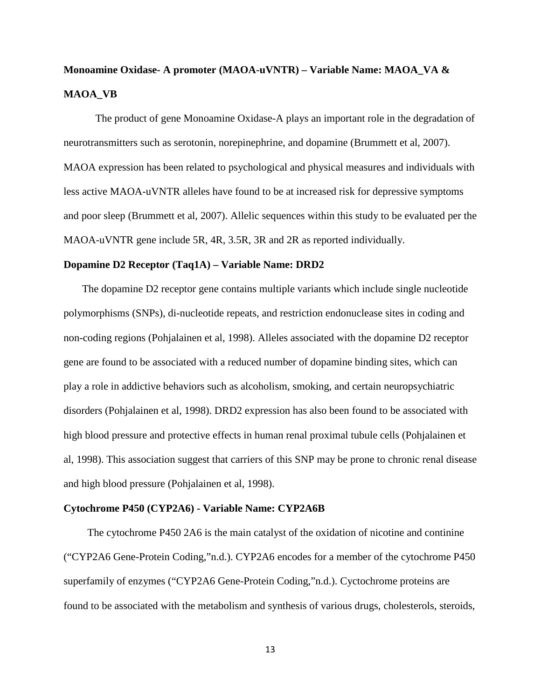# **Monoamine Oxidase- A promoter (MAOA-uVNTR) – Variable Name: MAOA\_VA & MAOA\_VB**

The product of gene Monoamine Oxidase-A plays an important role in the degradation of neurotransmitters such as serotonin, norepinephrine, and dopamine (Brummett et al, 2007). MAOA expression has been related to psychological and physical measures and individuals with less active MAOA-uVNTR alleles have found to be at increased risk for depressive symptoms and poor sleep (Brummett et al, 2007). Allelic sequences within this study to be evaluated per the MAOA-uVNTR gene include 5R, 4R, 3.5R, 3R and 2R as reported individually.

#### **Dopamine D2 Receptor (Taq1A) – Variable Name: DRD2**

 The dopamine D2 receptor gene contains multiple variants which include single nucleotide polymorphisms (SNPs), di-nucleotide repeats, and restriction endonuclease sites in coding and non-coding regions (Pohjalainen et al, 1998). Alleles associated with the dopamine D2 receptor gene are found to be associated with a reduced number of dopamine binding sites, which can play a role in addictive behaviors such as alcoholism, smoking, and certain neuropsychiatric disorders (Pohjalainen et al, 1998). DRD2 expression has also been found to be associated with high blood pressure and protective effects in human renal proximal tubule cells (Pohjalainen et al, 1998). This association suggest that carriers of this SNP may be prone to chronic renal disease and high blood pressure (Pohjalainen et al, 1998).

#### **Cytochrome P450 (CYP2A6) - Variable Name: CYP2A6B**

 The cytochrome P450 2A6 is the main catalyst of the oxidation of nicotine and continine ("CYP2A6 Gene-Protein Coding,"n.d.). CYP2A6 encodes for a member of the cytochrome P450 superfamily of enzymes ("CYP2A6 Gene-Protein Coding,"n.d.). Cyctochrome proteins are found to be associated with the metabolism and synthesis of various drugs, cholesterols, steroids,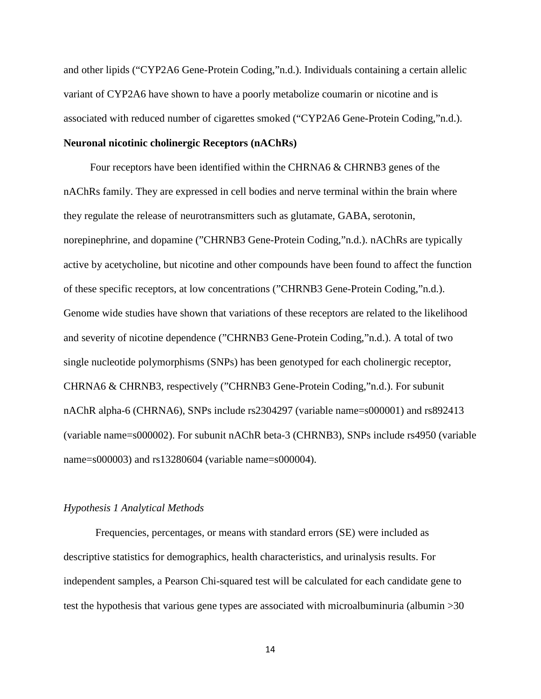and other lipids ("CYP2A6 Gene-Protein Coding,"n.d.). Individuals containing a certain allelic variant of CYP2A6 have shown to have a poorly metabolize coumarin or nicotine and is associated with reduced number of cigarettes smoked ("CYP2A6 Gene-Protein Coding,"n.d.).

#### **Neuronal nicotinic cholinergic Receptors (nAChRs)**

 Four receptors have been identified within the CHRNA6 & CHRNB3 genes of the nAChRs family. They are expressed in cell bodies and nerve terminal within the brain where they regulate the release of neurotransmitters such as glutamate, GABA, serotonin, norepinephrine, and dopamine ("CHRNB3 Gene-Protein Coding,"n.d.). nAChRs are typically active by acetycholine, but nicotine and other compounds have been found to affect the function of these specific receptors, at low concentrations ("CHRNB3 Gene-Protein Coding,"n.d.). Genome wide studies have shown that variations of these receptors are related to the likelihood and severity of nicotine dependence ("CHRNB3 Gene-Protein Coding,"n.d.). A total of two single nucleotide polymorphisms (SNPs) has been genotyped for each cholinergic receptor, CHRNA6 & CHRNB3, respectively ("CHRNB3 Gene-Protein Coding,"n.d.). For subunit nAChR alpha-6 (CHRNA6), SNPs include rs2304297 (variable name=s000001) and rs892413 (variable name=s000002). For subunit nAChR beta-3 (CHRNB3), SNPs include rs4950 (variable name=s000003) and rs13280604 (variable name=s000004).

#### *Hypothesis 1 Analytical Methods*

Frequencies, percentages, or means with standard errors (SE) were included as descriptive statistics for demographics, health characteristics, and urinalysis results. For independent samples, a Pearson Chi-squared test will be calculated for each candidate gene to test the hypothesis that various gene types are associated with microalbuminuria (albumin >30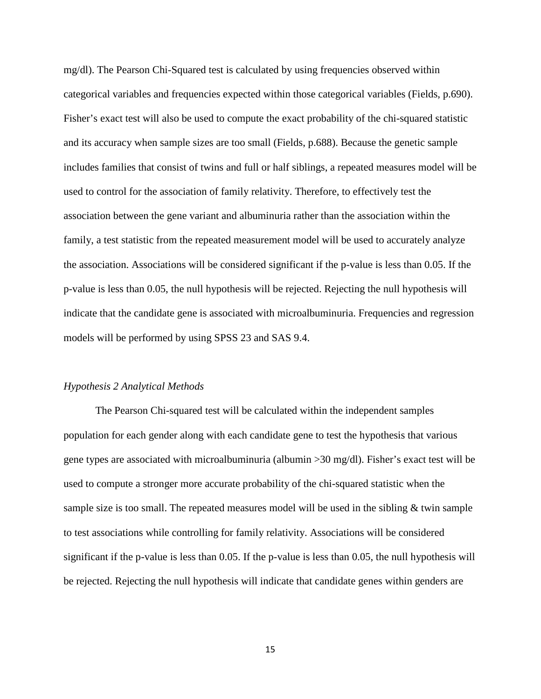mg/dl). The Pearson Chi-Squared test is calculated by using frequencies observed within categorical variables and frequencies expected within those categorical variables (Fields, p.690). Fisher's exact test will also be used to compute the exact probability of the chi-squared statistic and its accuracy when sample sizes are too small (Fields, p.688). Because the genetic sample includes families that consist of twins and full or half siblings, a repeated measures model will be used to control for the association of family relativity. Therefore, to effectively test the association between the gene variant and albuminuria rather than the association within the family, a test statistic from the repeated measurement model will be used to accurately analyze the association. Associations will be considered significant if the p-value is less than 0.05. If the p-value is less than 0.05, the null hypothesis will be rejected. Rejecting the null hypothesis will indicate that the candidate gene is associated with microalbuminuria. Frequencies and regression models will be performed by using SPSS 23 and SAS 9.4.

#### *Hypothesis 2 Analytical Methods*

The Pearson Chi-squared test will be calculated within the independent samples population for each gender along with each candidate gene to test the hypothesis that various gene types are associated with microalbuminuria (albumin  $>$ 30 mg/dl). Fisher's exact test will be used to compute a stronger more accurate probability of the chi-squared statistic when the sample size is too small. The repeated measures model will be used in the sibling  $\&$  twin sample to test associations while controlling for family relativity. Associations will be considered significant if the p-value is less than 0.05. If the p-value is less than 0.05, the null hypothesis will be rejected. Rejecting the null hypothesis will indicate that candidate genes within genders are

15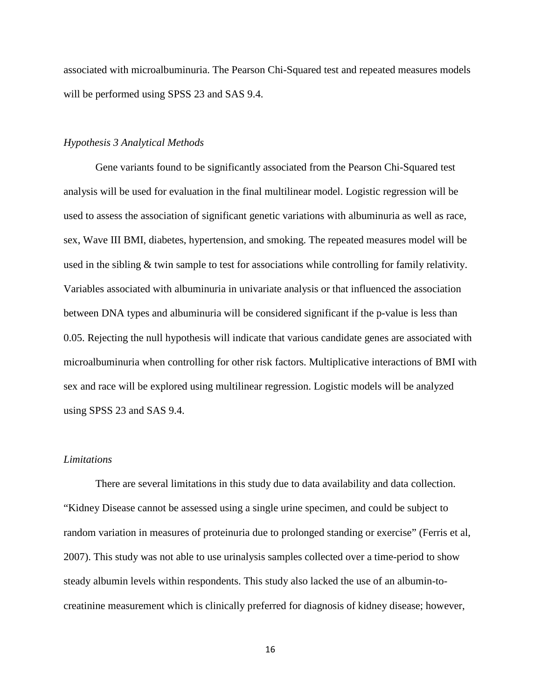associated with microalbuminuria. The Pearson Chi-Squared test and repeated measures models will be performed using SPSS 23 and SAS 9.4.

#### *Hypothesis 3 Analytical Methods*

Gene variants found to be significantly associated from the Pearson Chi-Squared test analysis will be used for evaluation in the final multilinear model. Logistic regression will be used to assess the association of significant genetic variations with albuminuria as well as race, sex, Wave III BMI, diabetes, hypertension, and smoking. The repeated measures model will be used in the sibling & twin sample to test for associations while controlling for family relativity. Variables associated with albuminuria in univariate analysis or that influenced the association between DNA types and albuminuria will be considered significant if the p-value is less than 0.05. Rejecting the null hypothesis will indicate that various candidate genes are associated with microalbuminuria when controlling for other risk factors. Multiplicative interactions of BMI with sex and race will be explored using multilinear regression. Logistic models will be analyzed using SPSS 23 and SAS 9.4.

#### *Limitations*

There are several limitations in this study due to data availability and data collection. "Kidney Disease cannot be assessed using a single urine specimen, and could be subject to random variation in measures of proteinuria due to prolonged standing or exercise" (Ferris et al, 2007). This study was not able to use urinalysis samples collected over a time-period to show steady albumin levels within respondents. This study also lacked the use of an albumin-tocreatinine measurement which is clinically preferred for diagnosis of kidney disease; however,

16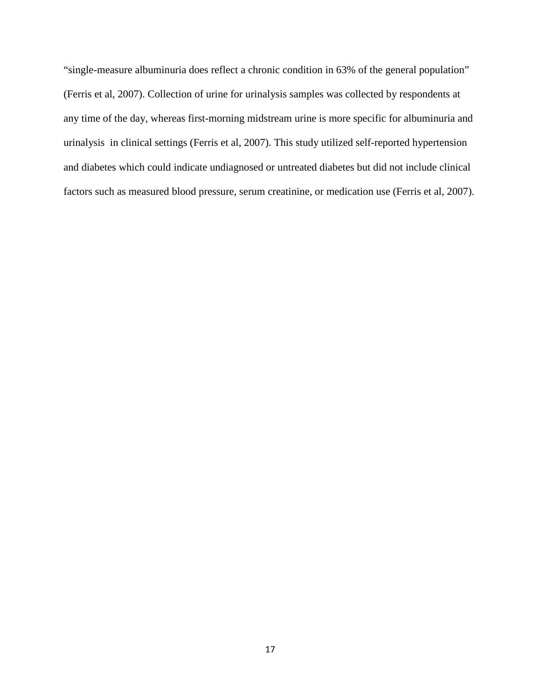"single-measure albuminuria does reflect a chronic condition in 63% of the general population" (Ferris et al, 2007). Collection of urine for urinalysis samples was collected by respondents at any time of the day, whereas first-morning midstream urine is more specific for albuminuria and urinalysis in clinical settings (Ferris et al, 2007). This study utilized self-reported hypertension and diabetes which could indicate undiagnosed or untreated diabetes but did not include clinical factors such as measured blood pressure, serum creatinine, or medication use (Ferris et al, 2007).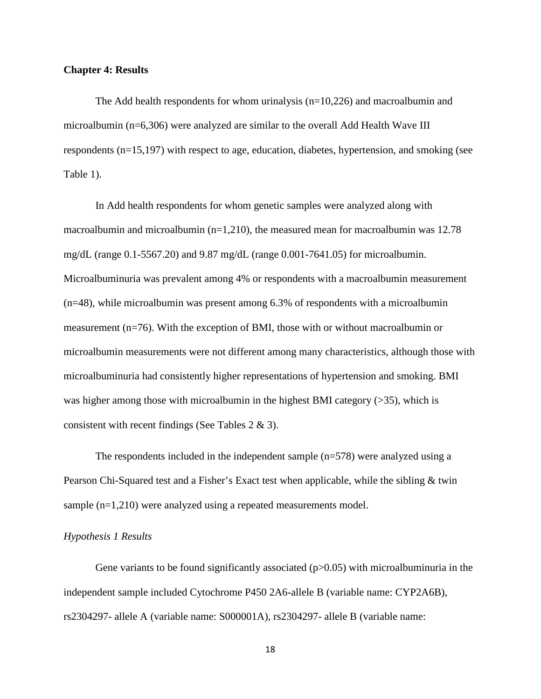#### **Chapter 4: Results**

The Add health respondents for whom urinalysis (n=10,226) and macroalbumin and microalbumin (n=6,306) were analyzed are similar to the overall Add Health Wave III respondents (n=15,197) with respect to age, education, diabetes, hypertension, and smoking (see Table 1).

In Add health respondents for whom genetic samples were analyzed along with macroalbumin and microalbumin ( $n=1,210$ ), the measured mean for macroalbumin was 12.78 mg/dL (range 0.1-5567.20) and 9.87 mg/dL (range 0.001-7641.05) for microalbumin. Microalbuminuria was prevalent among 4% or respondents with a macroalbumin measurement (n=48), while microalbumin was present among 6.3% of respondents with a microalbumin measurement (n=76). With the exception of BMI, those with or without macroalbumin or microalbumin measurements were not different among many characteristics, although those with microalbuminuria had consistently higher representations of hypertension and smoking. BMI was higher among those with microalbumin in the highest BMI category (>35), which is consistent with recent findings (See Tables 2 & 3).

The respondents included in the independent sample  $(n=578)$  were analyzed using a Pearson Chi-Squared test and a Fisher's Exact test when applicable, while the sibling & twin sample (n=1,210) were analyzed using a repeated measurements model.

#### *Hypothesis 1 Results*

Gene variants to be found significantly associated  $(p>0.05)$  with microalbuminuria in the independent sample included Cytochrome P450 2A6-allele B (variable name: CYP2A6B), rs2304297- allele A (variable name: S000001A), rs2304297- allele B (variable name:

18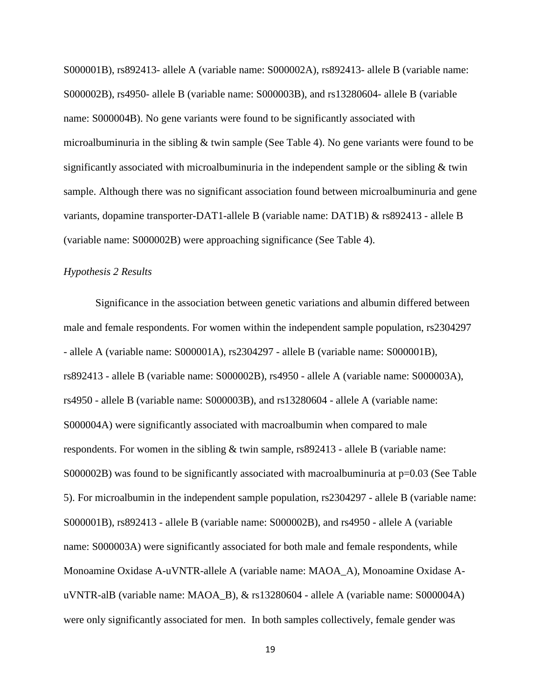S000001B), rs892413- allele A (variable name: S000002A), rs892413- allele B (variable name: S000002B), rs4950- allele B (variable name: S000003B), and rs13280604- allele B (variable name: S000004B). No gene variants were found to be significantly associated with microalbuminuria in the sibling & twin sample (See Table 4). No gene variants were found to be significantly associated with microalbuminuria in the independent sample or the sibling & twin sample. Although there was no significant association found between microalbuminuria and gene variants, dopamine transporter-DAT1-allele B (variable name: DAT1B) & rs892413 - allele B (variable name: S000002B) were approaching significance (See Table 4).

#### *Hypothesis 2 Results*

Significance in the association between genetic variations and albumin differed between male and female respondents. For women within the independent sample population, rs2304297 - allele A (variable name: S000001A), rs2304297 - allele B (variable name: S000001B), rs892413 - allele B (variable name: S000002B), rs4950 - allele A (variable name: S000003A), rs4950 - allele B (variable name: S000003B), and rs13280604 - allele A (variable name: S000004A) were significantly associated with macroalbumin when compared to male respondents. For women in the sibling & twin sample, rs892413 - allele B (variable name: S000002B) was found to be significantly associated with macroalbuminuria at  $p=0.03$  (See Table 5). For microalbumin in the independent sample population, rs2304297 - allele B (variable name: S000001B), rs892413 - allele B (variable name: S000002B), and rs4950 - allele A (variable name: S000003A) were significantly associated for both male and female respondents, while Monoamine Oxidase A-uVNTR-allele A (variable name: MAOA\_A), Monoamine Oxidase AuVNTR-alB (variable name: MAOA\_B), & rs13280604 - allele A (variable name: S000004A) were only significantly associated for men. In both samples collectively, female gender was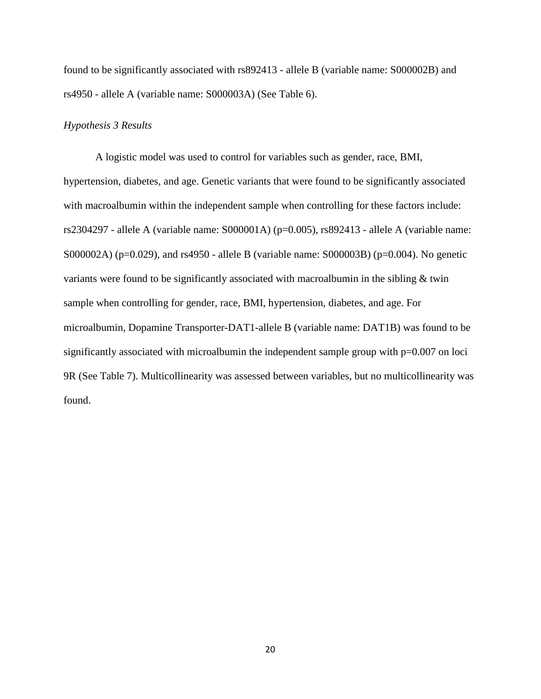found to be significantly associated with rs892413 - allele B (variable name: S000002B) and rs4950 - allele A (variable name: S000003A) (See Table 6).

#### *Hypothesis 3 Results*

A logistic model was used to control for variables such as gender, race, BMI, hypertension, diabetes, and age. Genetic variants that were found to be significantly associated with macroalbumin within the independent sample when controlling for these factors include: rs2304297 - allele A (variable name:  $S000001A$ ) (p=0.005), rs892413 - allele A (variable name: S000002A) (p=0.029), and rs4950 - allele B (variable name: S000003B) (p=0.004). No genetic variants were found to be significantly associated with macroalbumin in the sibling & twin sample when controlling for gender, race, BMI, hypertension, diabetes, and age. For microalbumin, Dopamine Transporter-DAT1-allele B (variable name: DAT1B) was found to be significantly associated with microalbumin the independent sample group with  $p=0.007$  on loci 9R (See Table 7). Multicollinearity was assessed between variables, but no multicollinearity was found.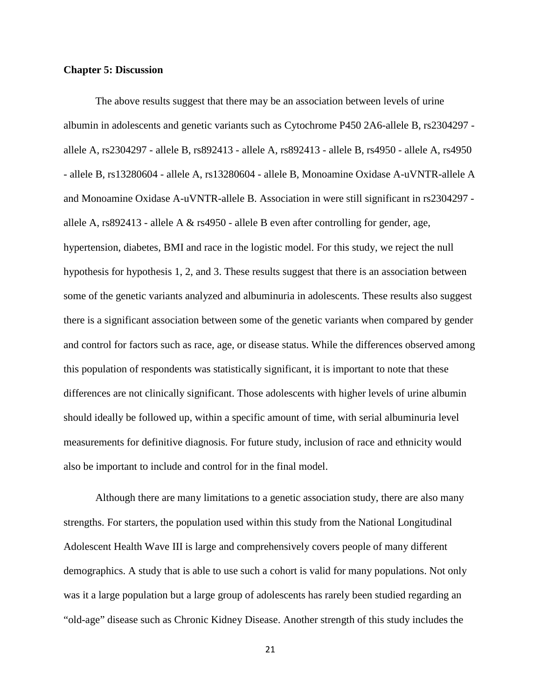#### **Chapter 5: Discussion**

The above results suggest that there may be an association between levels of urine albumin in adolescents and genetic variants such as Cytochrome P450 2A6-allele B, rs2304297 allele A, rs2304297 - allele B, rs892413 - allele A, rs892413 - allele B, rs4950 - allele A, rs4950 - allele B, rs13280604 - allele A, rs13280604 - allele B, Monoamine Oxidase A-uVNTR-allele A and Monoamine Oxidase A-uVNTR-allele B. Association in were still significant in rs2304297 allele A, rs892413 - allele A & rs4950 - allele B even after controlling for gender, age, hypertension, diabetes, BMI and race in the logistic model. For this study, we reject the null hypothesis for hypothesis 1, 2, and 3. These results suggest that there is an association between some of the genetic variants analyzed and albuminuria in adolescents. These results also suggest there is a significant association between some of the genetic variants when compared by gender and control for factors such as race, age, or disease status. While the differences observed among this population of respondents was statistically significant, it is important to note that these differences are not clinically significant. Those adolescents with higher levels of urine albumin should ideally be followed up, within a specific amount of time, with serial albuminuria level measurements for definitive diagnosis. For future study, inclusion of race and ethnicity would also be important to include and control for in the final model.

Although there are many limitations to a genetic association study, there are also many strengths. For starters, the population used within this study from the National Longitudinal Adolescent Health Wave III is large and comprehensively covers people of many different demographics. A study that is able to use such a cohort is valid for many populations. Not only was it a large population but a large group of adolescents has rarely been studied regarding an "old-age" disease such as Chronic Kidney Disease. Another strength of this study includes the

21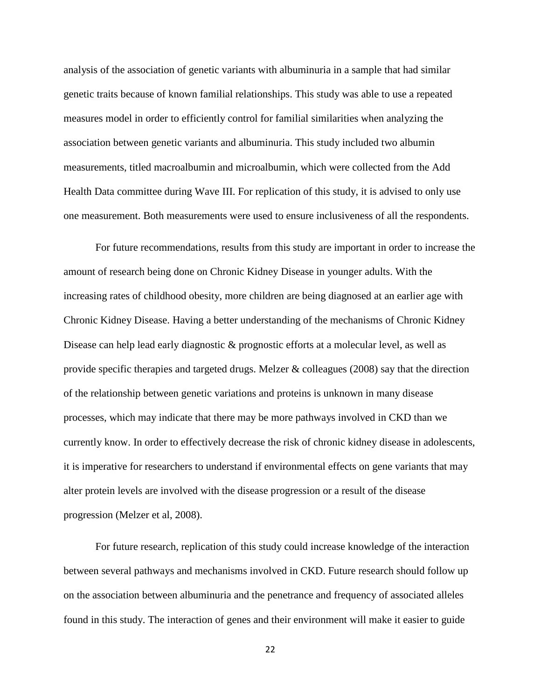analysis of the association of genetic variants with albuminuria in a sample that had similar genetic traits because of known familial relationships. This study was able to use a repeated measures model in order to efficiently control for familial similarities when analyzing the association between genetic variants and albuminuria. This study included two albumin measurements, titled macroalbumin and microalbumin, which were collected from the Add Health Data committee during Wave III. For replication of this study, it is advised to only use one measurement. Both measurements were used to ensure inclusiveness of all the respondents.

For future recommendations, results from this study are important in order to increase the amount of research being done on Chronic Kidney Disease in younger adults. With the increasing rates of childhood obesity, more children are being diagnosed at an earlier age with Chronic Kidney Disease. Having a better understanding of the mechanisms of Chronic Kidney Disease can help lead early diagnostic & prognostic efforts at a molecular level, as well as provide specific therapies and targeted drugs. Melzer & colleagues (2008) say that the direction of the relationship between genetic variations and proteins is unknown in many disease processes, which may indicate that there may be more pathways involved in CKD than we currently know. In order to effectively decrease the risk of chronic kidney disease in adolescents, it is imperative for researchers to understand if environmental effects on gene variants that may alter protein levels are involved with the disease progression or a result of the disease progression (Melzer et al, 2008).

For future research, replication of this study could increase knowledge of the interaction between several pathways and mechanisms involved in CKD. Future research should follow up on the association between albuminuria and the penetrance and frequency of associated alleles found in this study. The interaction of genes and their environment will make it easier to guide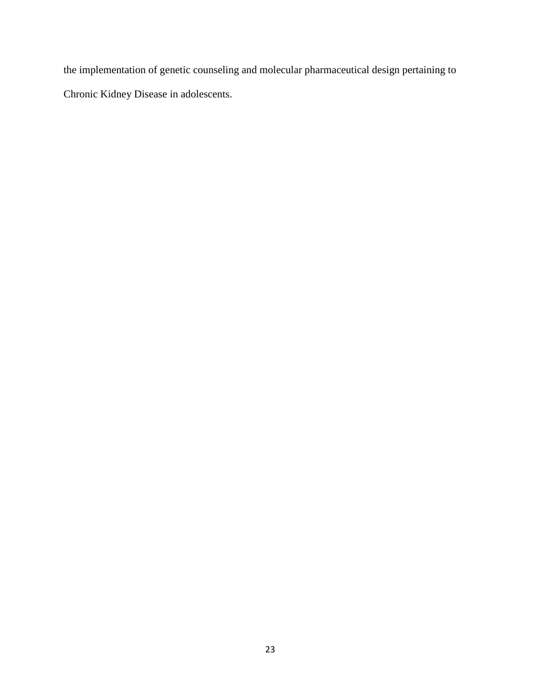the implementation of genetic counseling and molecular pharmaceutical design pertaining to Chronic Kidney Disease in adolescents.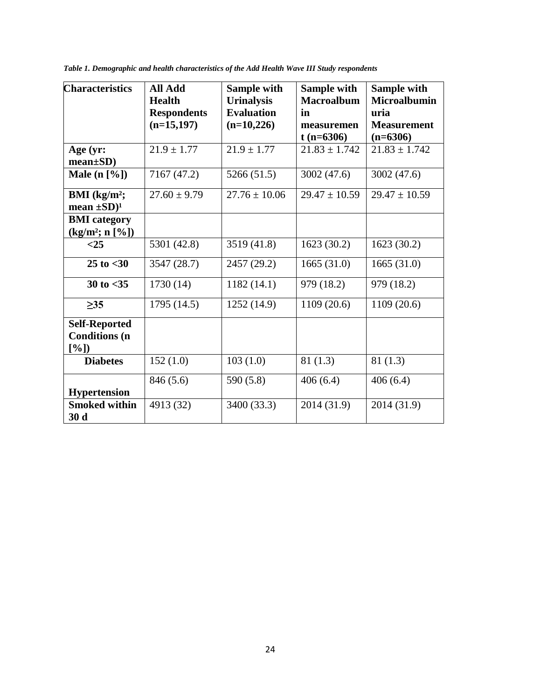| <b>Characteristics</b>                               | <b>All Add</b><br><b>Health</b><br><b>Respondents</b><br>$(n=15,197)$ | <b>Sample with</b><br><b>Urinalysis</b><br><b>Evaluation</b><br>$(n=10,226)$ | Sample with<br><b>Macroalbum</b><br>in<br>measuremen<br>$t(n=6306)$ | Sample with<br><b>Microalbumin</b><br>uria<br><b>Measurement</b><br>$(n=6306)$ |
|------------------------------------------------------|-----------------------------------------------------------------------|------------------------------------------------------------------------------|---------------------------------------------------------------------|--------------------------------------------------------------------------------|
| Age (yr:<br>$mean \pm SD$                            | $21.9 \pm 1.77$                                                       | $21.9 \pm 1.77$                                                              | $21.83 \pm 1.742$                                                   | $21.83 \pm 1.742$                                                              |
| Male $(n \, [\%])$                                   | 7167 (47.2)                                                           | 5266 (51.5)                                                                  | 3002 (47.6)                                                         | 3002 (47.6)                                                                    |
| BMI $(kg/m^2;$<br>mean $\pm SD$ <sup>1</sup>         | $27.60 \pm 9.79$                                                      | $27.76 \pm 10.06$                                                            | $29.47 \pm 10.59$                                                   | $29.47 \pm 10.59$                                                              |
| <b>BMI</b> category<br>$(kg/m^2; n [\%])$            |                                                                       |                                                                              |                                                                     |                                                                                |
| $<$ 25                                               | 5301 (42.8)                                                           | 3519 (41.8)                                                                  | 1623(30.2)                                                          | 1623(30.2)                                                                     |
| $25$ to $<$ 30                                       | 3547 (28.7)                                                           | 2457 (29.2)                                                                  | 1665(31.0)                                                          | 1665(31.0)                                                                     |
| 30 to $<$ 35                                         | 1730 (14)                                                             | 1182(14.1)                                                                   | 979 (18.2)                                                          | 979 (18.2)                                                                     |
| $\geq 35$                                            | 1795 (14.5)                                                           | 1252 (14.9)                                                                  | 1109(20.6)                                                          | 1109 (20.6)                                                                    |
| <b>Self-Reported</b><br><b>Conditions</b> (n<br>[%]) |                                                                       |                                                                              |                                                                     |                                                                                |
| <b>Diabetes</b>                                      | 152(1.0)                                                              | 103(1.0)                                                                     | 81(1.3)                                                             | 81(1.3)                                                                        |
| <b>Hypertension</b>                                  | 846 (5.6)                                                             | 590 (5.8)                                                                    | 406(6.4)                                                            | 406(6.4)                                                                       |
| <b>Smoked within</b><br>30d                          | 4913 (32)                                                             | 3400 (33.3)                                                                  | 2014 (31.9)                                                         | 2014 (31.9)                                                                    |

*Table 1. Demographic and health characteristics of the Add Health Wave III Study respondents*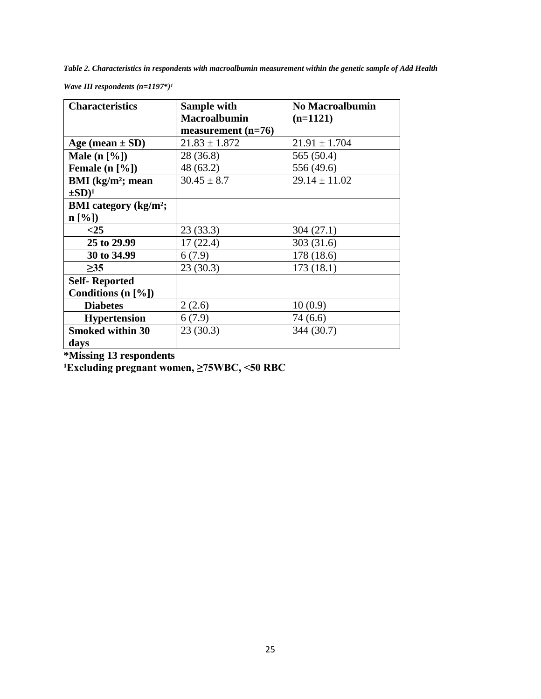*Table 2. Characteristics in respondents with macroalbumin measurement within the genetic sample of Add Health* 

| <b>Characteristics</b>                   | Sample with          | <b>No Macroalbumin</b> |
|------------------------------------------|----------------------|------------------------|
|                                          | <b>Macroalbumin</b>  | $(n=1121)$             |
|                                          | measurement $(n=76)$ |                        |
| Age (mean $\pm$ SD)                      | $21.83 \pm 1.872$    | $21.91 \pm 1.704$      |
| Male $(n \lceil \frac{6}{6} \rceil)$     | 28 (36.8)            | 565 (50.4)             |
| Female (n [%])                           | 48 (63.2)            | 556 (49.6)             |
| BMI $(kg/m^2)$ ; mean                    | $30.45 \pm 8.7$      | $29.14 \pm 11.02$      |
| $\pm SD)^1$                              |                      |                        |
| <b>BMI</b> category (kg/m <sup>2</sup> ; |                      |                        |
| n [%]                                    |                      |                        |
| $<$ 25                                   | 23(33.3)             | 304(27.1)              |
| 25 to 29.99                              | 17(22.4)             | 303 (31.6)             |
| 30 to 34.99                              | 6(7.9)               | 178 (18.6)             |
| $\geq$ 35                                | 23(30.3)             | 173(18.1)              |
| <b>Self-Reported</b>                     |                      |                        |
| Conditions (n [%])                       |                      |                        |
| <b>Diabetes</b>                          | 2(2.6)               | 10(0.9)                |
| <b>Hypertension</b>                      | 6(7.9)               | 74 (6.6)               |
| <b>Smoked within 30</b>                  | 23(30.3)             | 344 (30.7)             |
| days                                     |                      |                        |

*Wave III respondents*  $(n=1197*)^2$ 

**\*Missing 13 respondents**

**¹Excluding pregnant women, ≥75WBC, <50 RBC**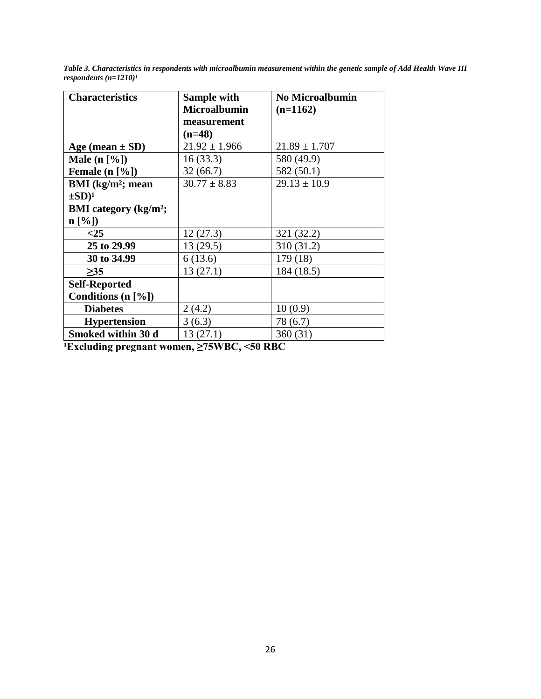*Table 3. Characteristics in respondents with microalbumin measurement within the genetic sample of Add Health Wave III respondents*  $(n=1210)^{1}$ 

| <b>Characteristics</b>                   | Sample with         | <b>No Microalbumin</b> |
|------------------------------------------|---------------------|------------------------|
|                                          | <b>Microalbumin</b> | $(n=1162)$             |
|                                          | measurement         |                        |
|                                          | $(n=48)$            |                        |
| Age (mean $\pm$ SD)                      | $21.92 \pm 1.966$   | $21.89 \pm 1.707$      |
| Male $(n \, [\%])$                       | 16(33.3)            | 580 (49.9)             |
| Female $(n \, [\%])$                     | 32(66.7)            | 582 (50.1)             |
| BMI $(kg/m^2;$ mean                      | $30.77 \pm 8.83$    | $29.13 \pm 10.9$       |
| $\pm SD)^1$                              |                     |                        |
| <b>BMI</b> category (kg/m <sup>2</sup> ; |                     |                        |
| $n \left[ \% \right]$                    |                     |                        |
| $<$ 25                                   | 12(27.3)            | 321 (32.2)             |
| 25 to 29.99                              | 13(29.5)            | 310 (31.2)             |
| 30 to 34.99                              | 6(13.6)             | 179 (18)               |
| $\geq$ 35                                | 13(27.1)            | 184 (18.5)             |
| <b>Self-Reported</b>                     |                     |                        |
| Conditions $(n \, [\%])$                 |                     |                        |
| <b>Diabetes</b>                          | 2(4.2)              | 10(0.9)                |
| <b>Hypertension</b>                      | 3(6.3)              | 78 (6.7)               |
| Smoked within 30 d                       | 13(27.1)            | 360(31)                |

**¹Excluding pregnant women, ≥75WBC, <50 RBC**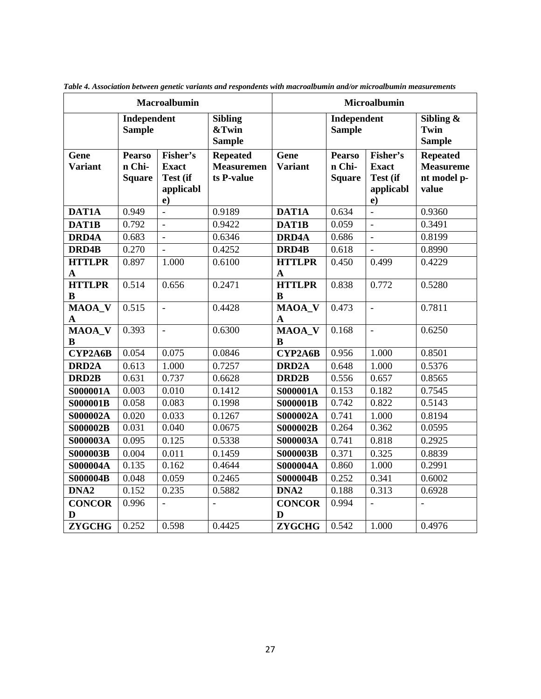| <b>Macroalbumin</b>           |                                          |                                                               | Microalbumin                                       |                               |                                          |                                                               |                                                             |
|-------------------------------|------------------------------------------|---------------------------------------------------------------|----------------------------------------------------|-------------------------------|------------------------------------------|---------------------------------------------------------------|-------------------------------------------------------------|
|                               | Independent<br><b>Sample</b>             |                                                               | <b>Sibling</b><br>&Twin<br><b>Sample</b>           |                               | Independent<br><b>Sample</b>             |                                                               | Sibling $\&$<br><b>Twin</b><br><b>Sample</b>                |
| Gene<br><b>Variant</b>        | <b>Pearso</b><br>n Chi-<br><b>Square</b> | Fisher's<br><b>Exact</b><br>Test (if<br>applicabl<br>$\bf e)$ | <b>Repeated</b><br><b>Measuremen</b><br>ts P-value | Gene<br><b>Variant</b>        | <b>Pearso</b><br>n Chi-<br><b>Square</b> | Fisher's<br><b>Exact</b><br>Test (if<br>applicabl<br>$\bf e)$ | <b>Repeated</b><br><b>Measureme</b><br>nt model p-<br>value |
| DAT1A                         | 0.949                                    | $\overline{a}$                                                | 0.9189                                             | DAT1A                         | 0.634                                    | $\overline{a}$                                                | 0.9360                                                      |
| DAT1B                         | 0.792                                    | $\blacksquare$                                                | 0.9422                                             | DAT1B                         | 0.059                                    | $\blacksquare$                                                | 0.3491                                                      |
| DRD4A                         | 0.683                                    | $\equiv$                                                      | 0.6346                                             | DRD4A                         | 0.686                                    | $\blacksquare$                                                | 0.8199                                                      |
| DRD4B                         | 0.270                                    | $\overline{\phantom{a}}$                                      | 0.4252                                             | DRD4B                         | 0.618                                    | $\blacksquare$                                                | 0.8990                                                      |
| <b>HTTLPR</b><br>$\mathbf{A}$ | 0.897                                    | 1.000                                                         | 0.6100                                             | <b>HTTLPR</b><br>$\mathbf{A}$ | 0.450                                    | 0.499                                                         | 0.4229                                                      |
| <b>HTTLPR</b><br>$\bf{B}$     | 0.514                                    | 0.656                                                         | 0.2471                                             | <b>HTTLPR</b><br>B            | 0.838                                    | 0.772                                                         | 0.5280                                                      |
| MAOA_V<br>$\mathbf A$         | 0.515                                    | $\blacksquare$                                                | 0.4428                                             | MAOA_V<br>$\mathbf A$         | 0.473                                    | $\blacksquare$                                                | 0.7811                                                      |
| <b>MAOA V</b><br>B            | 0.393                                    | $\overline{\phantom{a}}$                                      | 0.6300                                             | MAOA V<br>B                   | 0.168                                    | $\blacksquare$                                                | 0.6250                                                      |
| CYP2A6B                       | 0.054                                    | 0.075                                                         | 0.0846                                             | CYP2A6B                       | 0.956                                    | 1.000                                                         | 0.8501                                                      |
| DRD <sub>2</sub> A            | 0.613                                    | 1.000                                                         | 0.7257                                             | DRD <sub>2</sub> A            | 0.648                                    | 1.000                                                         | 0.5376                                                      |
| DRD <sub>2B</sub>             | 0.631                                    | 0.737                                                         | 0.6628                                             | DRD <sub>2</sub> B            | 0.556                                    | 0.657                                                         | 0.8565                                                      |
| S000001A                      | 0.003                                    | 0.010                                                         | 0.1412                                             | S000001A                      | 0.153                                    | 0.182                                                         | 0.7545                                                      |
| <b>S000001B</b>               | 0.058                                    | 0.083                                                         | 0.1998                                             | <b>S000001B</b>               | 0.742                                    | 0.822                                                         | 0.5143                                                      |
| S000002A                      | 0.020                                    | 0.033                                                         | 0.1267                                             | S000002A                      | 0.741                                    | 1.000                                                         | 0.8194                                                      |
| <b>S000002B</b>               | 0.031                                    | 0.040                                                         | 0.0675                                             | S000002B                      | 0.264                                    | 0.362                                                         | 0.0595                                                      |
| S000003A                      | 0.095                                    | 0.125                                                         | 0.5338                                             | S000003A                      | 0.741                                    | 0.818                                                         | 0.2925                                                      |
| <b>S000003B</b>               | 0.004                                    | 0.011                                                         | 0.1459                                             | <b>S000003B</b>               | 0.371                                    | 0.325                                                         | 0.8839                                                      |
| S000004A                      | 0.135                                    | 0.162                                                         | 0.4644                                             | S000004A                      | 0.860                                    | 1.000                                                         | 0.2991                                                      |
| S000004B                      | 0.048                                    | 0.059                                                         | 0.2465                                             | S000004B                      | 0.252                                    | 0.341                                                         | 0.6002                                                      |
| DNA <sub>2</sub>              | 0.152                                    | 0.235                                                         | 0.5882                                             | DNA <sub>2</sub>              | 0.188                                    | 0.313                                                         | 0.6928                                                      |
| <b>CONCOR</b><br>D            | 0.996                                    | $\bar{\phantom{a}}$                                           |                                                    | <b>CONCOR</b><br>D            | 0.994                                    |                                                               |                                                             |
| <b>ZYGCHG</b>                 | 0.252                                    | 0.598                                                         | 0.4425                                             | <b>ZYGCHG</b>                 | 0.542                                    | 1.000                                                         | 0.4976                                                      |

*Table 4. Association between genetic variants and respondents with macroalbumin and/or microalbumin measurements*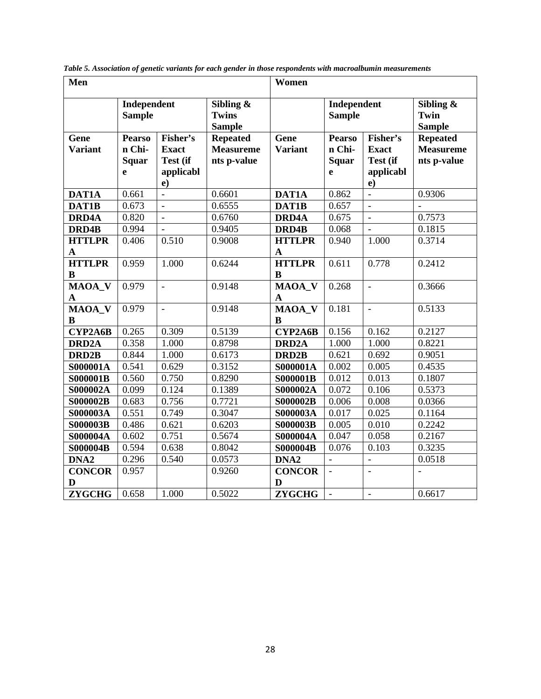| Men                    |                                              |                                                         |                                                    | Women                        |                                              |                                                               |                                                    |
|------------------------|----------------------------------------------|---------------------------------------------------------|----------------------------------------------------|------------------------------|----------------------------------------------|---------------------------------------------------------------|----------------------------------------------------|
|                        | Independent<br><b>Sample</b>                 |                                                         | Sibling &<br><b>Twins</b><br><b>Sample</b>         |                              | Independent<br><b>Sample</b>                 |                                                               | Sibling $\&$<br><b>Twin</b><br><b>Sample</b>       |
| Gene<br><b>Variant</b> | <b>Pearso</b><br>n Chi-<br><b>Squar</b><br>e | Fisher's<br><b>Exact</b><br>Test (if<br>applicabl<br>e) | <b>Repeated</b><br><b>Measureme</b><br>nts p-value | Gene<br><b>Variant</b>       | <b>Pearso</b><br>n Chi-<br><b>Squar</b><br>e | Fisher's<br><b>Exact</b><br>Test (if<br>applicabl<br>$\bf{e}$ | <b>Repeated</b><br><b>Measureme</b><br>nts p-value |
| DAT1A                  | 0.661                                        | $\frac{1}{2}$                                           | 0.6601                                             | <b>DAT1A</b>                 | 0.862                                        | $\overline{a}$                                                | 0.9306                                             |
| DAT1B                  | 0.673                                        | $\overline{a}$                                          | 0.6555                                             | DAT1B                        | 0.657                                        | $\bar{\phantom{a}}$                                           |                                                    |
| DRD4A                  | 0.820                                        | $\overline{a}$                                          | 0.6760                                             | DRD4A                        | 0.675                                        | $\overline{a}$                                                | 0.7573                                             |
| DRD4B                  | 0.994                                        | $\overline{a}$                                          | 0.9405                                             | DRD4B                        | 0.068                                        | $\overline{a}$                                                | 0.1815                                             |
| <b>HTTLPR</b><br>A     | 0.406                                        | 0.510                                                   | 0.9008                                             | <b>HTTLPR</b><br>$\mathbf A$ | 0.940                                        | 1.000                                                         | 0.3714                                             |
| <b>HTTLPR</b><br>B     | 0.959                                        | 1.000                                                   | 0.6244                                             | <b>HTTLPR</b><br>$\bf{B}$    | 0.611                                        | 0.778                                                         | 0.2412                                             |
| MAOA_V<br>A            | 0.979                                        | $\overline{a}$                                          | 0.9148                                             | MAOA_V<br>$\mathbf A$        | 0.268                                        | $\overline{a}$                                                | 0.3666                                             |
| MAOA_V<br>B            | 0.979                                        | $\frac{1}{2}$                                           | 0.9148                                             | MAOA_V<br>B                  | 0.181                                        | $\bar{\phantom{a}}$                                           | 0.5133                                             |
| CYP2A6B                | 0.265                                        | 0.309                                                   | 0.5139                                             | CYP2A6B                      | 0.156                                        | 0.162                                                         | 0.2127                                             |
| DRD <sub>2</sub> A     | 0.358                                        | 1.000                                                   | 0.8798                                             | DRD <sub>2</sub> A           | 1.000                                        | 1.000                                                         | 0.8221                                             |
| DRD <sub>2B</sub>      | 0.844                                        | 1.000                                                   | 0.6173                                             | DRD <sub>2</sub> B           | 0.621                                        | 0.692                                                         | 0.9051                                             |
| S000001A               | 0.541                                        | 0.629                                                   | 0.3152                                             | S000001A                     | 0.002                                        | 0.005                                                         | 0.4535                                             |
| <b>S000001B</b>        | 0.560                                        | 0.750                                                   | 0.8290                                             | <b>S000001B</b>              | 0.012                                        | 0.013                                                         | 0.1807                                             |
| S000002A               | 0.099                                        | 0.124                                                   | 0.1389                                             | S000002A                     | 0.072                                        | 0.106                                                         | 0.5373                                             |
| <b>S000002B</b>        | 0.683                                        | 0.756                                                   | 0.7721                                             | S000002B                     | 0.006                                        | 0.008                                                         | 0.0366                                             |
| S000003A               | 0.551                                        | 0.749                                                   | 0.3047                                             | S000003A                     | 0.017                                        | 0.025                                                         | 0.1164                                             |
| <b>S000003B</b>        | 0.486                                        | 0.621                                                   | 0.6203                                             | <b>S000003B</b>              | 0.005                                        | 0.010                                                         | 0.2242                                             |
| S000004A               | 0.602                                        | 0.751                                                   | 0.5674                                             | S000004A                     | 0.047                                        | 0.058                                                         | 0.2167                                             |
| <b>S000004B</b>        | 0.594                                        | 0.638                                                   | 0.8042                                             | <b>S000004B</b>              | 0.076                                        | 0.103                                                         | 0.3235                                             |
| DNA <sub>2</sub>       | 0.296                                        | 0.540                                                   | 0.0573                                             | DNA <sub>2</sub>             |                                              | $\overline{a}$                                                | 0.0518                                             |
| <b>CONCOR</b><br>D     | 0.957                                        |                                                         | 0.9260                                             | <b>CONCOR</b><br>D           | $\overline{a}$                               |                                                               |                                                    |
| <b>ZYGCHG</b>          | 0.658                                        | 1.000                                                   | 0.5022                                             | <b>ZYGCHG</b>                | $\overline{a}$                               | $\overline{\phantom{a}}$                                      | 0.6617                                             |

*Table 5. Association of genetic variants for each gender in those respondents with macroalbumin measurements*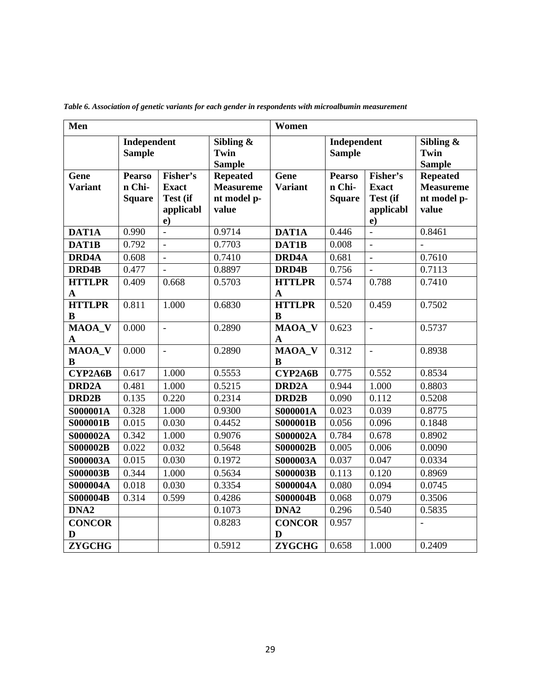| Men                          |                                          |                                                               |                                                             | Women                         |                                          |                                                         |                                                             |
|------------------------------|------------------------------------------|---------------------------------------------------------------|-------------------------------------------------------------|-------------------------------|------------------------------------------|---------------------------------------------------------|-------------------------------------------------------------|
|                              | Independent<br><b>Sample</b>             |                                                               | Sibling $\&$<br>Twin<br><b>Sample</b>                       |                               | Independent<br><b>Sample</b>             |                                                         | Sibling $\&$<br>Twin<br><b>Sample</b>                       |
| Gene<br><b>Variant</b>       | <b>Pearso</b><br>n Chi-<br><b>Square</b> | Fisher's<br><b>Exact</b><br>Test (if<br>applicabl<br>$\bf e)$ | <b>Repeated</b><br><b>Measureme</b><br>nt model p-<br>value | Gene<br><b>Variant</b>        | <b>Pearso</b><br>n Chi-<br><b>Square</b> | Fisher's<br><b>Exact</b><br>Test (if<br>applicabl<br>e) | <b>Repeated</b><br><b>Measureme</b><br>nt model p-<br>value |
| DAT1A                        | 0.990                                    |                                                               | 0.9714                                                      | DAT1A                         | 0.446                                    |                                                         | 0.8461                                                      |
| DAT1B                        | 0.792                                    | $\overline{\phantom{a}}$                                      | 0.7703                                                      | DAT1B                         | 0.008                                    | $\overline{a}$                                          | $\overline{a}$                                              |
| <b>DRD4A</b>                 | 0.608                                    | $\overline{a}$                                                | 0.7410                                                      | DRD4A                         | 0.681                                    | $\blacksquare$                                          | 0.7610                                                      |
| DRD4B                        | 0.477                                    | $\overline{\phantom{a}}$                                      | 0.8897                                                      | DRD4B                         | 0.756                                    | $\overline{\phantom{a}}$                                | 0.7113                                                      |
| <b>HTTLPR</b><br>$\mathbf A$ | 0.409                                    | 0.668                                                         | 0.5703                                                      | <b>HTTLPR</b><br>$\mathbf{A}$ | 0.574                                    | 0.788                                                   | $\overline{0.741}0$                                         |
| <b>HTTLPR</b><br>B           | 0.811                                    | 1.000                                                         | 0.6830                                                      | <b>HTTLPR</b><br>B            | 0.520                                    | 0.459                                                   | 0.7502                                                      |
| MAOA_V<br>A                  | 0.000                                    | $\blacksquare$                                                | 0.2890                                                      | MAOA_V<br>$\mathbf{A}$        | 0.623                                    | $\Box$                                                  | 0.5737                                                      |
| MAOA_V<br>B                  | 0.000                                    | $\overline{a}$                                                | 0.2890                                                      | MAOA_V<br>B                   | 0.312                                    | $\blacksquare$                                          | 0.8938                                                      |
| CYP2A6B                      | 0.617                                    | 1.000                                                         | 0.5553                                                      | CYP2A6B                       | 0.775                                    | 0.552                                                   | 0.8534                                                      |
| DRD <sub>2</sub> A           | 0.481                                    | 1.000                                                         | 0.5215                                                      | DRD <sub>2</sub> A            | 0.944                                    | 1.000                                                   | 0.8803                                                      |
| DRD <sub>2</sub> B           | 0.135                                    | 0.220                                                         | 0.2314                                                      | DRD <sub>2B</sub>             | 0.090                                    | 0.112                                                   | 0.5208                                                      |
| S000001A                     | 0.328                                    | 1.000                                                         | 0.9300                                                      | <b>S000001A</b>               | 0.023                                    | 0.039                                                   | 0.8775                                                      |
| <b>S000001B</b>              | 0.015                                    | 0.030                                                         | 0.4452                                                      | <b>S000001B</b>               | 0.056                                    | 0.096                                                   | 0.1848                                                      |
| S000002A                     | 0.342                                    | 1.000                                                         | 0.9076                                                      | <b>S000002A</b>               | 0.784                                    | 0.678                                                   | 0.8902                                                      |
| <b>S000002B</b>              | 0.022                                    | 0.032                                                         | 0.5648                                                      | <b>S000002B</b>               | 0.005                                    | 0.006                                                   | 0.0090                                                      |
| S000003A                     | 0.015                                    | 0.030                                                         | 0.1972                                                      | <b>S000003A</b>               | 0.037                                    | 0.047                                                   | 0.0334                                                      |
| <b>S000003B</b>              | 0.344                                    | 1.000                                                         | 0.5634                                                      | <b>S000003B</b>               | 0.113                                    | 0.120                                                   | 0.8969                                                      |
| S000004A                     | 0.018                                    | 0.030                                                         | 0.3354                                                      | S000004A                      | 0.080                                    | 0.094                                                   | 0.0745                                                      |
| <b>S000004B</b>              | 0.314                                    | 0.599                                                         | 0.4286                                                      | <b>S000004B</b>               | 0.068                                    | 0.079                                                   | 0.3506                                                      |
| DNA <sub>2</sub>             |                                          |                                                               | 0.1073                                                      | DNA <sub>2</sub>              | 0.296                                    | 0.540                                                   | 0.5835                                                      |
| <b>CONCOR</b><br>D           |                                          |                                                               | 0.8283                                                      | <b>CONCOR</b><br>D            | 0.957                                    |                                                         |                                                             |
| <b>ZYGCHG</b>                |                                          |                                                               | 0.5912                                                      | <b>ZYGCHG</b>                 | 0.658                                    | 1.000                                                   | 0.2409                                                      |

*Table 6. Association of genetic variants for each gender in respondents with microalbumin measurement*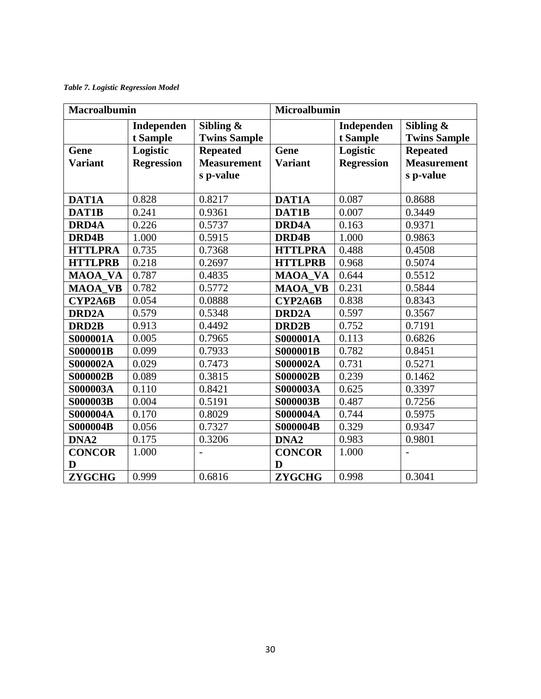*Table 7. Logistic Regression Model*

| <b>Macroalbumin</b> |                        |                                     | <b>Microalbumin</b> |                        |                                     |  |
|---------------------|------------------------|-------------------------------------|---------------------|------------------------|-------------------------------------|--|
|                     | Independen<br>t Sample | Sibling $\&$<br><b>Twins Sample</b> |                     | Independen<br>t Sample | Sibling $\&$<br><b>Twins Sample</b> |  |
| Gene                | Logistic               | <b>Repeated</b>                     | Gene                | Logistic               | <b>Repeated</b>                     |  |
| <b>Variant</b>      | <b>Regression</b>      | <b>Measurement</b>                  | <b>Variant</b>      | <b>Regression</b>      | <b>Measurement</b>                  |  |
|                     |                        | s p-value                           |                     |                        | s p-value                           |  |
|                     |                        |                                     |                     |                        |                                     |  |
| DAT1A               | 0.828                  | 0.8217                              | DAT1A               | 0.087                  | 0.8688                              |  |
| DAT1B               | 0.241                  | 0.9361                              | DAT1B               | 0.007                  | 0.3449                              |  |
| <b>DRD4A</b>        | 0.226                  | 0.5737                              | DRD4A               | 0.163                  | 0.9371                              |  |
| DRD4B               | 1.000                  | 0.5915                              | DRD4B               | 1.000                  | 0.9863                              |  |
| <b>HTTLPRA</b>      | 0.735                  | 0.7368                              | <b>HTTLPRA</b>      | 0.488                  | 0.4508                              |  |
| <b>HTTLPRB</b>      | 0.218                  | 0.2697                              | <b>HTTLPRB</b>      | 0.968                  | 0.5074                              |  |
| <b>MAOA VA</b>      | 0.787                  | 0.4835                              | <b>MAOA VA</b>      | 0.644                  | 0.5512                              |  |
| <b>MAOA VB</b>      | 0.782                  | 0.5772                              | <b>MAOA_VB</b>      | 0.231                  | 0.5844                              |  |
| CYP2A6B             | 0.054                  | 0.0888                              | CYP2A6B             | 0.838                  | 0.8343                              |  |
| <b>DRD2A</b>        | 0.579                  | 0.5348                              | DRD <sub>2</sub> A  | 0.597                  | 0.3567                              |  |
| DRD <sub>2</sub> B  | 0.913                  | 0.4492                              | DRD <sub>2B</sub>   | 0.752                  | 0.7191                              |  |
| S000001A            | 0.005                  | 0.7965                              | <b>S000001A</b>     | 0.113                  | 0.6826                              |  |
| <b>S000001B</b>     | 0.099                  | 0.7933                              | <b>S000001B</b>     | 0.782                  | 0.8451                              |  |
| S000002A            | 0.029                  | 0.7473                              | S000002A            | 0.731                  | 0.5271                              |  |
| <b>S000002B</b>     | 0.089                  | 0.3815                              | <b>S000002B</b>     | 0.239                  | 0.1462                              |  |
| <b>S000003A</b>     | 0.110                  | 0.8421                              | S000003A            | 0.625                  | 0.3397                              |  |
| <b>S000003B</b>     | 0.004                  | 0.5191                              | <b>S000003B</b>     | 0.487                  | 0.7256                              |  |
| S000004A            | 0.170                  | 0.8029                              | S000004A            | 0.744                  | 0.5975                              |  |
| <b>S000004B</b>     | 0.056                  | 0.7327                              | <b>S000004B</b>     | 0.329                  | 0.9347                              |  |
| DNA <sub>2</sub>    | 0.175                  | 0.3206                              | DNA <sub>2</sub>    | 0.983                  | 0.9801                              |  |
| <b>CONCOR</b>       | 1.000                  |                                     | <b>CONCOR</b>       | 1.000                  |                                     |  |
| D                   |                        |                                     | D                   |                        |                                     |  |
| <b>ZYGCHG</b>       | 0.999                  | 0.6816                              | <b>ZYGCHG</b>       | 0.998                  | 0.3041                              |  |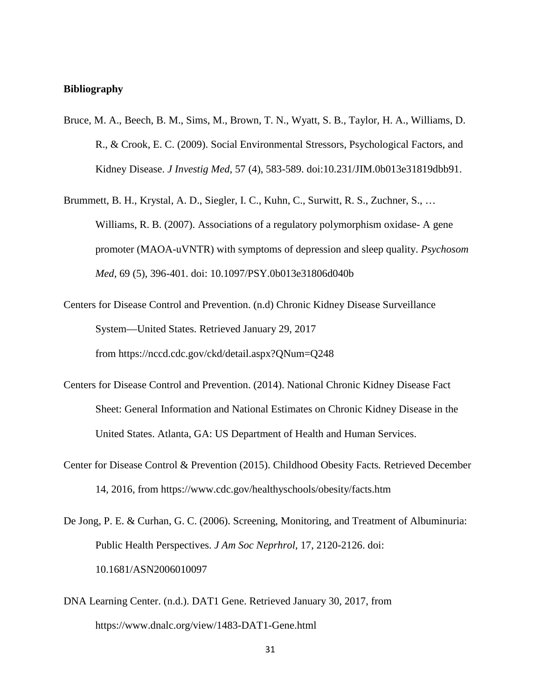#### **Bibliography**

- Bruce, M. A., Beech, B. M., Sims, M., Brown, T. N., Wyatt, S. B., Taylor, H. A., Williams, D. R., & Crook, E. C. (2009). Social Environmental Stressors, Psychological Factors, and Kidney Disease. *J Investig Med*, 57 (4), 583-589. doi:10.231/JIM.0b013e31819dbb91.
- Brummett, B. H., Krystal, A. D., Siegler, I. C., Kuhn, C., Surwitt, R. S., Zuchner, S., … Williams, R. B. (2007). Associations of a regulatory polymorphism oxidase- A gene promoter (MAOA-uVNTR) with symptoms of depression and sleep quality. *Psychosom Med*, 69 (5), 396-401. doi: 10.1097/PSY.0b013e31806d040b
- Centers for Disease Control and Prevention. (n.d) Chronic Kidney Disease Surveillance System—United States. Retrieved January 29, 2017 from https://nccd.cdc.gov/ckd/detail.aspx?QNum=Q248
- Centers for Disease Control and Prevention. (2014). National Chronic Kidney Disease Fact Sheet: General Information and National Estimates on Chronic Kidney Disease in the United States. Atlanta, GA: US Department of Health and Human Services.
- Center for Disease Control & Prevention (2015). Childhood Obesity Facts*.* Retrieved December 14, 2016, from https://www.cdc.gov/healthyschools/obesity/facts.htm
- De Jong, P. E. & Curhan, G. C. (2006). Screening, Monitoring, and Treatment of Albuminuria: Public Health Perspectives. *J Am Soc Neprhrol*, 17, 2120-2126. doi: 10.1681/ASN2006010097
- DNA Learning Center. (n.d.). DAT1 Gene. Retrieved January 30, 2017, from https://www.dnalc.org/view/1483-DAT1-Gene.html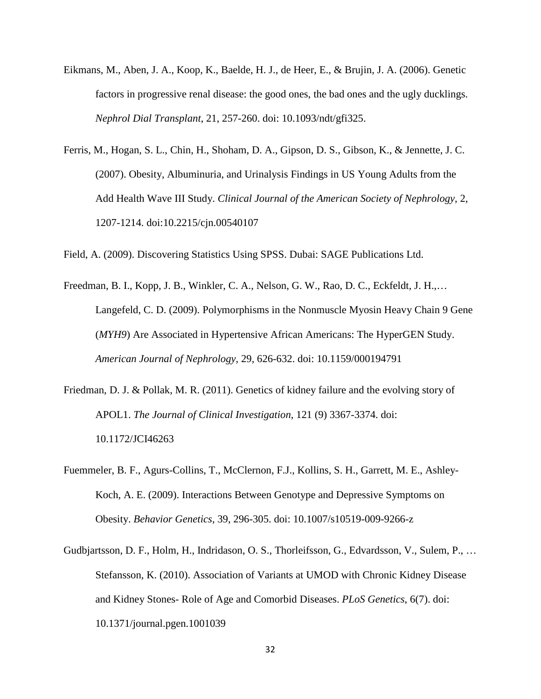- Eikmans, M., Aben, J. A., Koop, K., Baelde, H. J., de Heer, E., & Brujin, J. A. (2006). Genetic factors in progressive renal disease: the good ones, the bad ones and the ugly ducklings. *Nephrol Dial Transplant*, 21, 257-260. doi: 10.1093/ndt/gfi325.
- Ferris, M., Hogan, S. L., Chin, H., Shoham, D. A., Gipson, D. S., Gibson, K., & Jennette, J. C. (2007). Obesity, Albuminuria, and Urinalysis Findings in US Young Adults from the Add Health Wave III Study. *Clinical Journal of the American Society of Nephrology*, 2, 1207-1214. doi:10.2215/cjn.00540107

Field, A. (2009). Discovering Statistics Using SPSS. Dubai: SAGE Publications Ltd.

- Freedman, B. I., Kopp, J. B., Winkler, C. A., Nelson, G. W., Rao, D. C., Eckfeldt, J. H.,… Langefeld, C. D. (2009). Polymorphisms in the Nonmuscle Myosin Heavy Chain 9 Gene (*MYH9*) Are Associated in Hypertensive African Americans: The HyperGEN Study. *American Journal of Nephrology*, 29, 626-632. doi: 10.1159/000194791
- Friedman, D. J. & Pollak, M. R. (2011). Genetics of kidney failure and the evolving story of APOL1. *The Journal of Clinical Investigation*, 121 (9) 3367-3374. doi: 10.1172/JCI46263
- Fuemmeler, B. F., Agurs-Collins, T., McClernon, F.J., Kollins, S. H., Garrett, M. E., Ashley-Koch, A. E. (2009). Interactions Between Genotype and Depressive Symptoms on Obesity. *Behavior Genetics*, 39, 296-305. doi: 10.1007/s10519-009-9266-z
- Gudbjartsson, D. F., Holm, H., Indridason, O. S., Thorleifsson, G., Edvardsson, V., Sulem, P., … Stefansson, K. (2010). Association of Variants at UMOD with Chronic Kidney Disease and Kidney Stones- Role of Age and Comorbid Diseases. *PLoS Genetics*, 6(7). doi: 10.1371/journal.pgen.1001039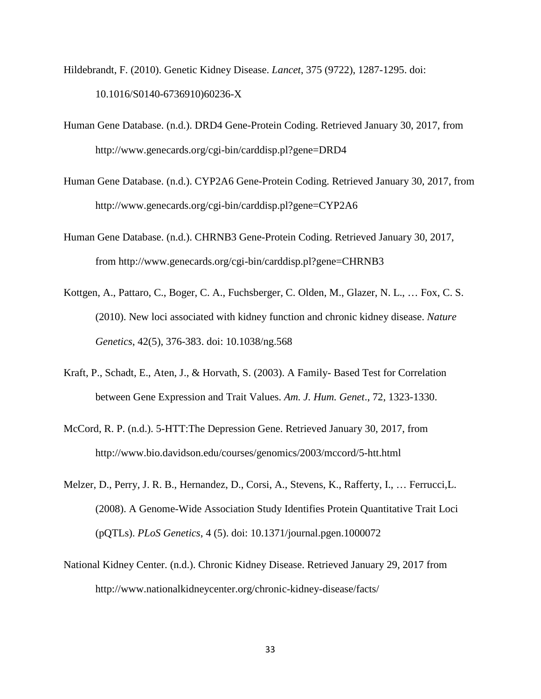- Hildebrandt, F. (2010). Genetic Kidney Disease. *Lancet*, 375 (9722), 1287-1295. doi: 10.1016/S0140-6736910)60236-X
- Human Gene Database. (n.d.). DRD4 Gene-Protein Coding. Retrieved January 30, 2017, from http://www.genecards.org/cgi-bin/carddisp.pl?gene=DRD4
- Human Gene Database. (n.d.). CYP2A6 Gene-Protein Coding. Retrieved January 30, 2017, from http://www.genecards.org/cgi-bin/carddisp.pl?gene=CYP2A6
- Human Gene Database. (n.d.). CHRNB3 Gene-Protein Coding. Retrieved January 30, 2017, from http://www.genecards.org/cgi-bin/carddisp.pl?gene=CHRNB3
- Kottgen, A., Pattaro, C., Boger, C. A., Fuchsberger, C. Olden, M., Glazer, N. L., … Fox, C. S. (2010). New loci associated with kidney function and chronic kidney disease. *Nature Genetics*, 42(5), 376-383. doi: 10.1038/ng.568
- Kraft, P., Schadt, E., Aten, J., & Horvath, S. (2003). A Family- Based Test for Correlation between Gene Expression and Trait Values. *Am. J. Hum. Genet*., 72, 1323-1330.
- McCord, R. P. (n.d.). 5-HTT:The Depression Gene. Retrieved January 30, 2017, from http://www.bio.davidson.edu/courses/genomics/2003/mccord/5-htt.html
- Melzer, D., Perry, J. R. B., Hernandez, D., Corsi, A., Stevens, K., Rafferty, I., … Ferrucci,L. (2008). A Genome-Wide Association Study Identifies Protein Quantitative Trait Loci (pQTLs). *PLoS Genetics*, 4 (5). doi: 10.1371/journal.pgen.1000072
- National Kidney Center. (n.d.). Chronic Kidney Disease. Retrieved January 29, 2017 from http://www.nationalkidneycenter.org/chronic-kidney-disease/facts/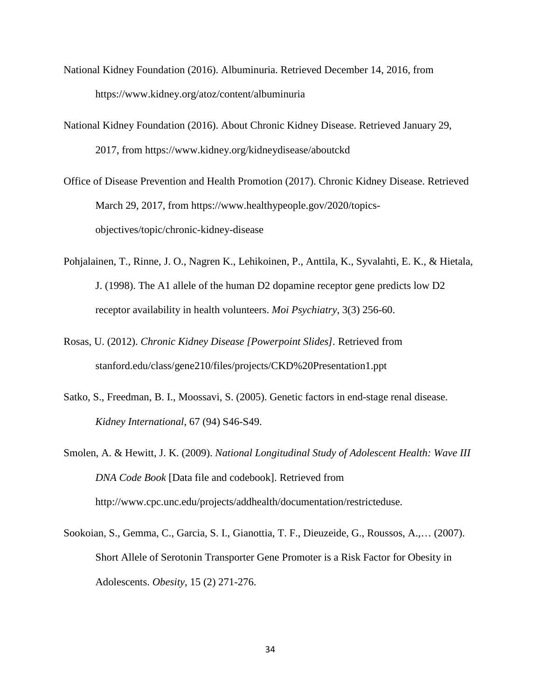- National Kidney Foundation (2016). Albuminuria. Retrieved December 14, 2016, from https://www.kidney.org/atoz/content/albuminuria
- National Kidney Foundation (2016). About Chronic Kidney Disease. Retrieved January 29, 2017, from https://www.kidney.org/kidneydisease/aboutckd
- Office of Disease Prevention and Health Promotion (2017). Chronic Kidney Disease. Retrieved March 29, 2017, from https://www.healthypeople.gov/2020/topicsobjectives/topic/chronic-kidney-disease
- Pohjalainen, T., Rinne, J. O., Nagren K., Lehikoinen, P., Anttila, K., Syvalahti, E. K., & Hietala, J. (1998). The A1 allele of the human D2 dopamine receptor gene predicts low D2 receptor availability in health volunteers. *Moi Psychiatry*, 3(3) 256-60.
- Rosas, U. (2012). *Chronic Kidney Disease [Powerpoint Slides].* Retrieved from stanford.edu/class/gene210/files/projects/CKD%20Presentation1.ppt
- Satko, S., Freedman, B. I., Moossavi, S. (2005). Genetic factors in end-stage renal disease. *Kidney International*, 67 (94) S46-S49.
- Smolen, A. & Hewitt, J. K. (2009). *National Longitudinal Study of Adolescent Health: Wave III DNA Code Book* [Data file and codebook]. Retrieved from http://www.cpc.unc.edu/projects/addhealth/documentation/restricteduse.
- Sookoian, S., Gemma, C., Garcia, S. I., Gianottia, T. F., Dieuzeide, G., Roussos, A.,… (2007). Short Allele of Serotonin Transporter Gene Promoter is a Risk Factor for Obesity in Adolescents. *Obesity*, 15 (2) 271-276.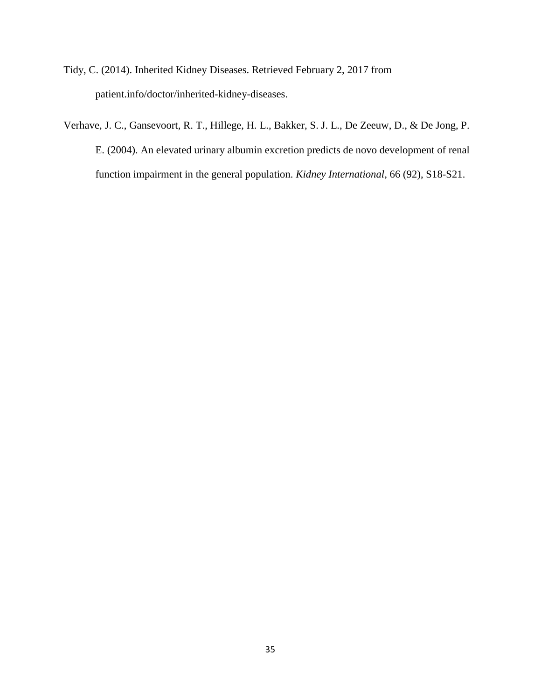- Tidy, C. (2014). Inherited Kidney Diseases. Retrieved February 2, 2017 from patient.info/doctor/inherited-kidney-diseases.
- Verhave, J. C., Gansevoort, R. T., Hillege, H. L., Bakker, S. J. L., De Zeeuw, D., & De Jong, P. E. (2004). An elevated urinary albumin excretion predicts de novo development of renal function impairment in the general population. *Kidney International*, 66 (92), S18-S21.